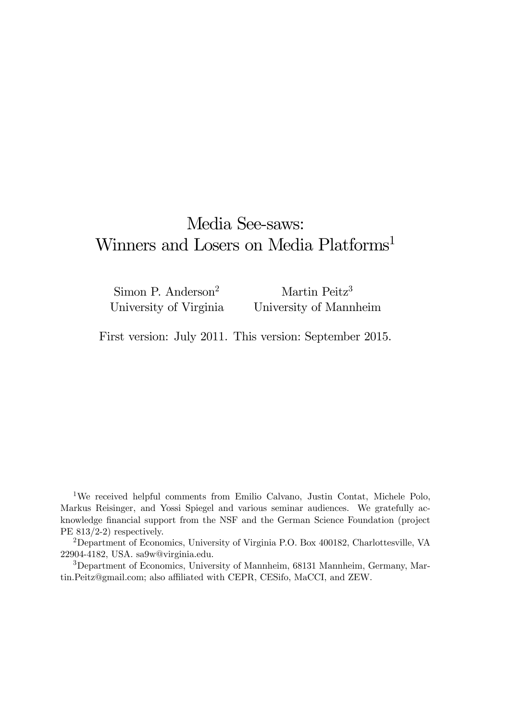# Media See-saws: Winners and Losers on Media Platforms<sup>1</sup>

Simon P. Anderson<sup>2</sup> University of Virginia Martin Peitz<sup>3</sup> University of Mannheim

First version: July 2011. This version: September 2015.

1We received helpful comments from Emilio Calvano, Justin Contat, Michele Polo, Markus Reisinger, and Yossi Spiegel and various seminar audiences. We gratefully acknowledge financial support from the NSF and the German Science Foundation (project PE 813/2-2) respectively.

2Department of Economics, University of Virginia P.O. Box 400182, Charlottesville, VA 22904-4182, USA. sa9w@virginia.edu.

3Department of Economics, University of Mannheim, 68131 Mannheim, Germany, Martin.Peitz@gmail.com; also affiliated with CEPR, CESifo, MaCCI, and ZEW.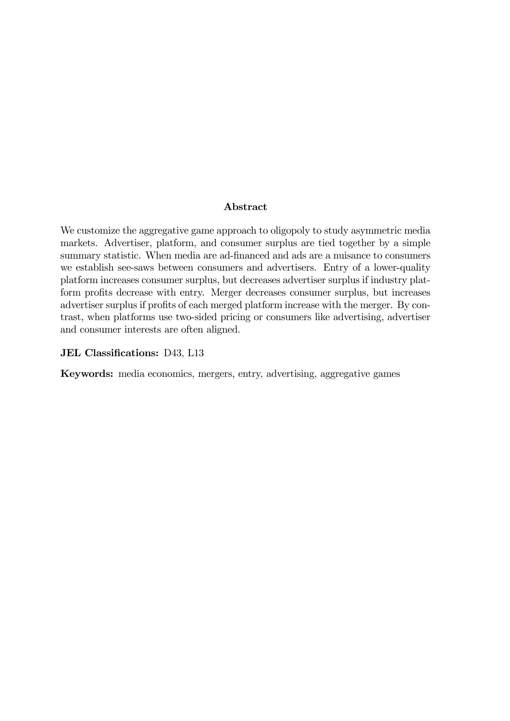### Abstract

We customize the aggregative game approach to oligopoly to study asymmetric media markets. Advertiser, platform, and consumer surplus are tied together by a simple summary statistic. When media are ad-financed and ads are a nuisance to consumers we establish see-saws between consumers and advertisers. Entry of a lower-quality platform increases consumer surplus, but decreases advertiser surplus if industry platform profits decrease with entry. Merger decreases consumer surplus, but increases advertiser surplus if profits of each merged platform increase with the merger. By contrast, when platforms use two-sided pricing or consumers like advertising, advertiser and consumer interests are often aligned.

### JEL Classifications: D43, L13

Keywords: media economics, mergers, entry, advertising, aggregative games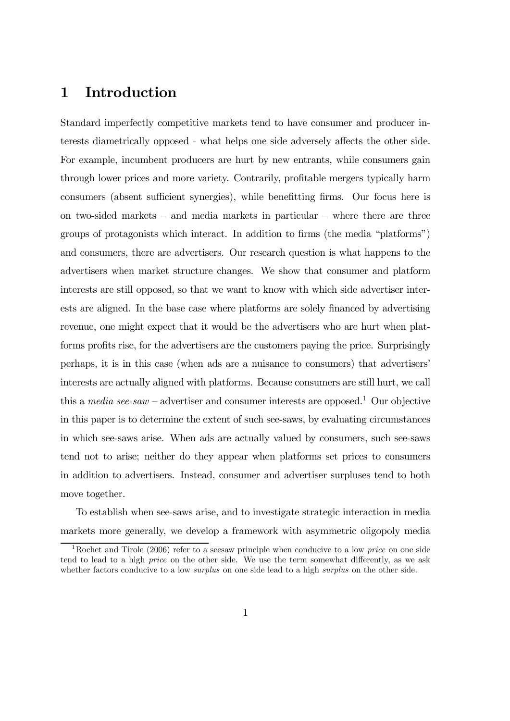# 1 Introduction

Standard imperfectly competitive markets tend to have consumer and producer interests diametrically opposed - what helps one side adversely affects the other side. For example, incumbent producers are hurt by new entrants, while consumers gain through lower prices and more variety. Contrarily, profitable mergers typically harm consumers (absent sufficient synergies), while benefitting firms. Our focus here is on two-sided markets – and media markets in particular – where there are three groups of protagonists which interact. In addition to firms (the media "platforms") and consumers, there are advertisers. Our research question is what happens to the advertisers when market structure changes. We show that consumer and platform interests are still opposed, so that we want to know with which side advertiser interests are aligned. In the base case where platforms are solely financed by advertising revenue, one might expect that it would be the advertisers who are hurt when platforms profits rise, for the advertisers are the customers paying the price. Surprisingly perhaps, it is in this case (when ads are a nuisance to consumers) that advertisers' interests are actually aligned with platforms. Because consumers are still hurt, we call this a media see-saw – advertiser and consumer interests are opposed.<sup>1</sup> Our objective in this paper is to determine the extent of such see-saws, by evaluating circumstances in which see-saws arise. When ads are actually valued by consumers, such see-saws tend not to arise; neither do they appear when platforms set prices to consumers in addition to advertisers. Instead, consumer and advertiser surpluses tend to both move together.

To establish when see-saws arise, and to investigate strategic interaction in media markets more generally, we develop a framework with asymmetric oligopoly media

<sup>&</sup>lt;sup>1</sup>Rochet and Tirole (2006) refer to a seesaw principle when conducive to a low *price* on one side tend to lead to a high price on the other side. We use the term somewhat differently, as we ask whether factors conducive to a low *surplus* on one side lead to a high *surplus* on the other side.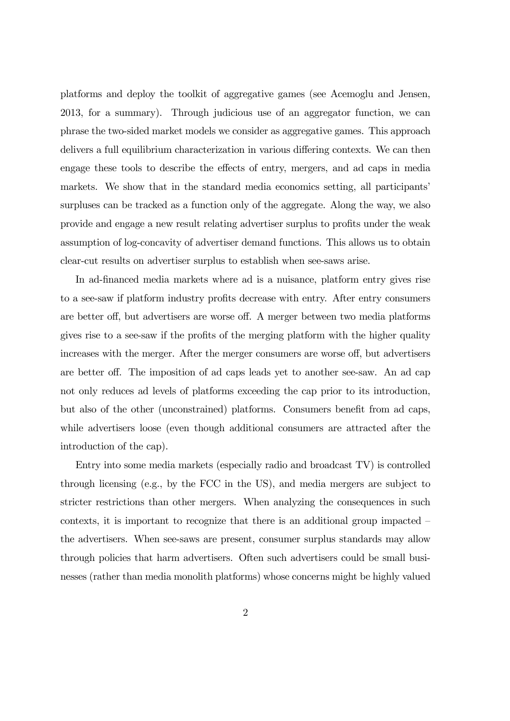platforms and deploy the toolkit of aggregative games (see Acemoglu and Jensen, 2013, for a summary). Through judicious use of an aggregator function, we can phrase the two-sided market models we consider as aggregative games. This approach delivers a full equilibrium characterization in various differing contexts. We can then engage these tools to describe the effects of entry, mergers, and ad caps in media markets. We show that in the standard media economics setting, all participants' surpluses can be tracked as a function only of the aggregate. Along the way, we also provide and engage a new result relating advertiser surplus to profits under the weak assumption of log-concavity of advertiser demand functions. This allows us to obtain clear-cut results on advertiser surplus to establish when see-saws arise.

In ad-financed media markets where ad is a nuisance, platform entry gives rise to a see-saw if platform industry profits decrease with entry. After entry consumers are better off, but advertisers are worse off. A merger between two media platforms gives rise to a see-saw if the profits of the merging platform with the higher quality increases with the merger. After the merger consumers are worse off, but advertisers are better off. The imposition of ad caps leads yet to another see-saw. An ad cap not only reduces ad levels of platforms exceeding the cap prior to its introduction, but also of the other (unconstrained) platforms. Consumers benefit from ad caps, while advertisers loose (even though additional consumers are attracted after the introduction of the cap).

Entry into some media markets (especially radio and broadcast TV) is controlled through licensing (e.g., by the FCC in the US), and media mergers are subject to stricter restrictions than other mergers. When analyzing the consequences in such contexts, it is important to recognize that there is an additional group impacted the advertisers. When see-saws are present, consumer surplus standards may allow through policies that harm advertisers. Often such advertisers could be small businesses (rather than media monolith platforms) whose concerns might be highly valued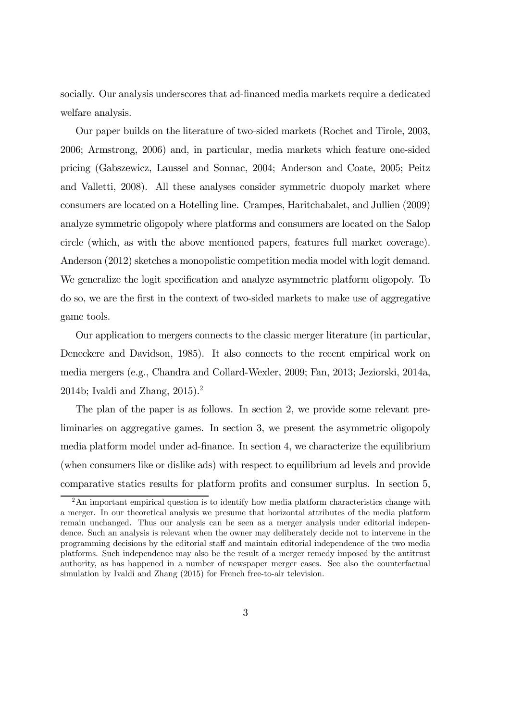socially. Our analysis underscores that ad-financed media markets require a dedicated welfare analysis.

Our paper builds on the literature of two-sided markets (Rochet and Tirole, 2003, 2006; Armstrong, 2006) and, in particular, media markets which feature one-sided pricing (Gabszewicz, Laussel and Sonnac, 2004; Anderson and Coate, 2005; Peitz and Valletti, 2008). All these analyses consider symmetric duopoly market where consumers are located on a Hotelling line. Crampes, Haritchabalet, and Jullien (2009) analyze symmetric oligopoly where platforms and consumers are located on the Salop circle (which, as with the above mentioned papers, features full market coverage). Anderson (2012) sketches a monopolistic competition media model with logit demand. We generalize the logit specification and analyze asymmetric platform oligopoly. To do so, we are the first in the context of two-sided markets to make use of aggregative game tools.

Our application to mergers connects to the classic merger literature (in particular, Deneckere and Davidson, 1985). It also connects to the recent empirical work on media mergers (e.g., Chandra and Collard-Wexler, 2009; Fan, 2013; Jeziorski, 2014a, 2014b; Ivaldi and Zhang,  $2015$ ).<sup>2</sup>

The plan of the paper is as follows. In section 2, we provide some relevant preliminaries on aggregative games. In section 3, we present the asymmetric oligopoly media platform model under ad-finance. In section 4, we characterize the equilibrium (when consumers like or dislike ads) with respect to equilibrium ad levels and provide comparative statics results for platform profits and consumer surplus. In section 5,

 $2\text{An important empirical question is to identify how media platform characteristics change with }$ a merger. In our theoretical analysis we presume that horizontal attributes of the media platform remain unchanged. Thus our analysis can be seen as a merger analysis under editorial independence. Such an analysis is relevant when the owner may deliberately decide not to intervene in the programming decisions by the editorial staff and maintain editorial independence of the two media platforms. Such independence may also be the result of a merger remedy imposed by the antitrust authority, as has happened in a number of newspaper merger cases. See also the counterfactual simulation by Ivaldi and Zhang (2015) for French free-to-air television.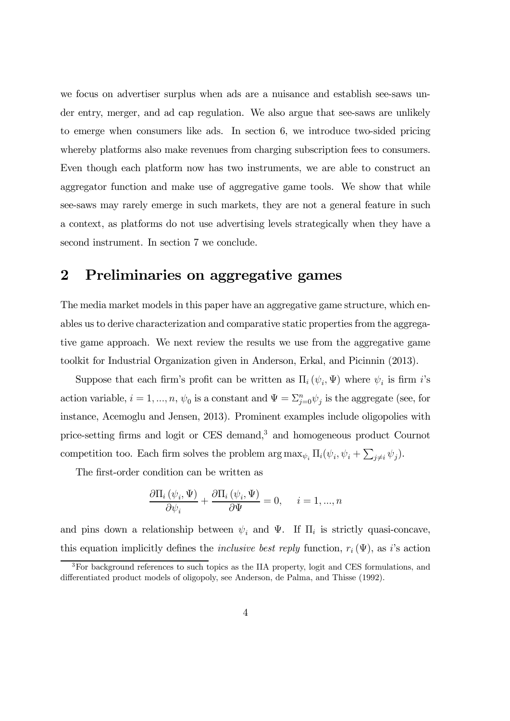we focus on advertiser surplus when ads are a nuisance and establish see-saws under entry, merger, and ad cap regulation. We also argue that see-saws are unlikely to emerge when consumers like ads. In section 6, we introduce two-sided pricing whereby platforms also make revenues from charging subscription fees to consumers. Even though each platform now has two instruments, we are able to construct an aggregator function and make use of aggregative game tools. We show that while see-saws may rarely emerge in such markets, they are not a general feature in such a context, as platforms do not use advertising levels strategically when they have a second instrument. In section 7 we conclude.

# 2 Preliminaries on aggregative games

The media market models in this paper have an aggregative game structure, which enables us to derive characterization and comparative static properties from the aggregative game approach. We next review the results we use from the aggregative game toolkit for Industrial Organization given in Anderson, Erkal, and Picinnin (2013).

Suppose that each firm's profit can be written as  $\Pi_i(\psi_i, \Psi)$  where  $\psi_i$  is firm i's action variable,  $i = 1, ..., n$ ,  $\psi_0$  is a constant and  $\Psi = \sum_{j=0}^n \psi_j$  is the aggregate (see, for instance, Acemoglu and Jensen, 2013). Prominent examples include oligopolies with price-setting firms and logit or CES demand,<sup>3</sup> and homogeneous product Cournot competition too. Each firm solves the problem  $\arg \max_{\psi_i} \Pi_i(\psi_i, \psi_i + \sum_{j \neq i} \psi_j)$ .

The first-order condition can be written as

$$
\frac{\partial \Pi_i(\psi_i, \Psi)}{\partial \psi_i} + \frac{\partial \Pi_i(\psi_i, \Psi)}{\partial \Psi} = 0, \quad i = 1, ..., n
$$

and pins down a relationship between  $\psi_i$  and  $\Psi$ . If  $\Pi_i$  is strictly quasi-concave, this equation implicitly defines the *inclusive best reply* function,  $r_i(\Psi)$ , as i's action

 $3$ For background references to such topics as the IIA property, logit and CES formulations, and differentiated product models of oligopoly, see Anderson, de Palma, and Thisse (1992).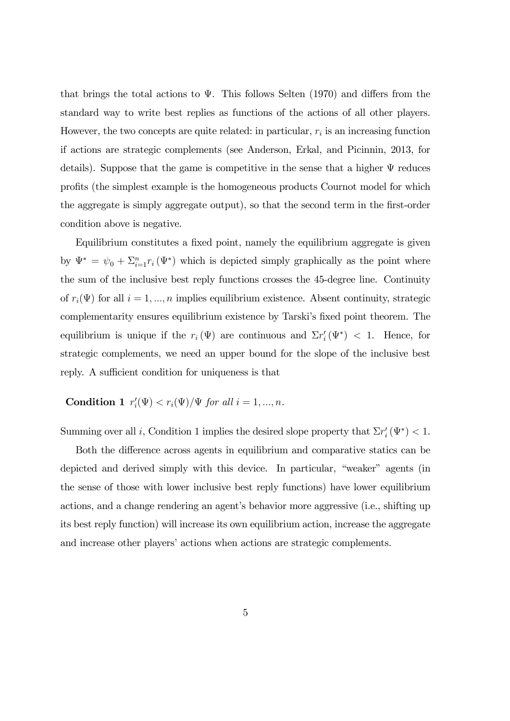that brings the total actions to  $\Psi$ . This follows Selten (1970) and differs from the standard way to write best replies as functions of the actions of all other players. However, the two concepts are quite related: in particular,  $r_i$  is an increasing function if actions are strategic complements (see Anderson, Erkal, and Picinnin, 2013, for details). Suppose that the game is competitive in the sense that a higher  $\Psi$  reduces profits (the simplest example is the homogeneous products Cournot model for which the aggregate is simply aggregate output), so that the second term in the first-order condition above is negative.

Equilibrium constitutes a fixed point, namely the equilibrium aggregate is given by  $\Psi^* = \psi_0 + \sum_{i=1}^n r_i(\Psi^*)$  which is depicted simply graphically as the point where the sum of the inclusive best reply functions crosses the 45-degree line. Continuity of  $r_i(\Psi)$  for all  $i = 1, ..., n$  implies equilibrium existence. Absent continuity, strategic complementarity ensures equilibrium existence by Tarski's fixed point theorem. The equilibrium is unique if the  $r_i(\Psi)$  are continuous and  $\Sigma r'_i(\Psi^*) < 1$ . Hence, for strategic complements, we need an upper bound for the slope of the inclusive best reply. A sufficient condition for uniqueness is that

### Condition 1  $r'_{i}(\Psi) < r_{i}(\Psi)/\Psi$  for all  $i = 1, ..., n$ .

Summing over all *i*, Condition 1 implies the desired slope property that  $\Sigma r_i'(\Psi^*) < 1$ .

Both the difference across agents in equilibrium and comparative statics can be depicted and derived simply with this device. In particular, "weaker" agents (in the sense of those with lower inclusive best reply functions) have lower equilibrium actions, and a change rendering an agent's behavior more aggressive (i.e., shifting up its best reply function) will increase its own equilibrium action, increase the aggregate and increase other players' actions when actions are strategic complements.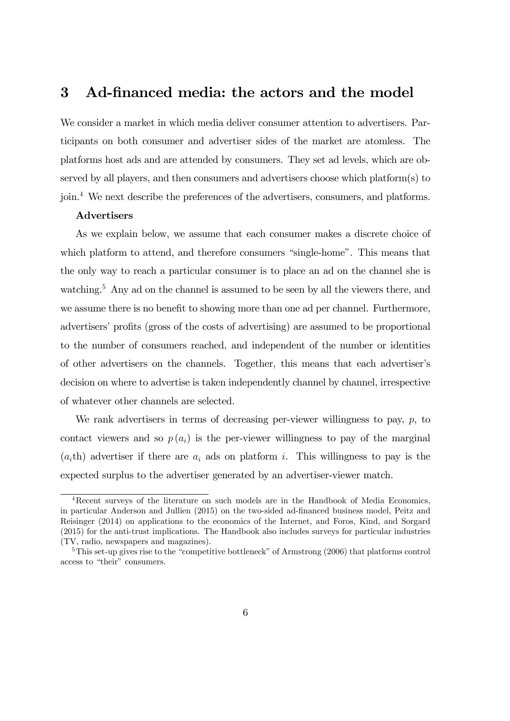## 3 Ad-financed media: the actors and the model

We consider a market in which media deliver consumer attention to advertisers. Participants on both consumer and advertiser sides of the market are atomless. The platforms host ads and are attended by consumers. They set ad levels, which are observed by all players, and then consumers and advertisers choose which platform(s) to join.4 We next describe the preferences of the advertisers, consumers, and platforms.

#### Advertisers

As we explain below, we assume that each consumer makes a discrete choice of which platform to attend, and therefore consumers "single-home". This means that the only way to reach a particular consumer is to place an ad on the channel she is watching.<sup>5</sup> Any ad on the channel is assumed to be seen by all the viewers there, and we assume there is no benefit to showing more than one ad per channel. Furthermore, advertisers' profits (gross of the costs of advertising) are assumed to be proportional to the number of consumers reached, and independent of the number or identities of other advertisers on the channels. Together, this means that each advertiser's decision on where to advertise is taken independently channel by channel, irrespective of whatever other channels are selected.

We rank advertisers in terms of decreasing per-viewer willingness to pay,  $p$ , to contact viewers and so  $p(a_i)$  is the per-viewer willingness to pay of the marginal  $(a<sub>i</sub>th)$  advertiser if there are  $a<sub>i</sub>$  ads on platform i. This willingness to pay is the expected surplus to the advertiser generated by an advertiser-viewer match.

<sup>4</sup>Recent surveys of the literature on such models are in the Handbook of Media Economics, in particular Anderson and Jullien (2015) on the two-sided ad-financed business model, Peitz and Reisinger (2014) on applications to the economics of the Internet, and Foros, Kind, and Sorgard (2015) for the anti-trust implications. The Handbook also includes surveys for particular industries (TV, radio, newspapers and magazines).

<sup>&</sup>lt;sup>5</sup>This set-up gives rise to the "competitive bottleneck" of Armstrong (2006) that platforms control access to "their" consumers.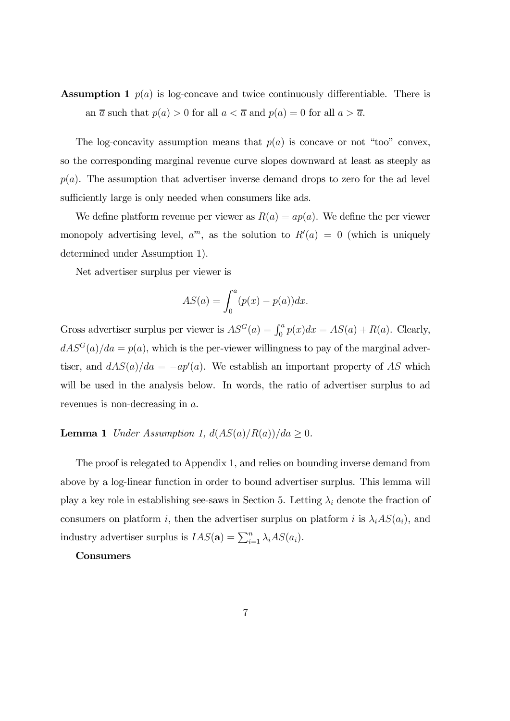# **Assumption 1**  $p(a)$  is log-concave and twice continuously differentiable. There is an  $\overline{a}$  such that  $p(a) > 0$  for all  $a < \overline{a}$  and  $p(a) = 0$  for all  $a > \overline{a}$ .

The log-concavity assumption means that  $p(a)$  is concave or not "too" convex, so the corresponding marginal revenue curve slopes downward at least as steeply as  $p(a)$ . The assumption that advertiser inverse demand drops to zero for the ad level sufficiently large is only needed when consumers like ads.

We define platform revenue per viewer as  $R(a) = ap(a)$ . We define the per viewer monopoly advertising level,  $a^m$ , as the solution to  $R'(a) = 0$  (which is uniquely determined under Assumption 1).

Net advertiser surplus per viewer is

$$
AS(a) = \int_0^a (p(x) - p(a)) dx.
$$

Gross advertiser surplus per viewer is  $AS^G(a) = \int_0^a p(x) dx = AS(a) + R(a)$ . Clearly,  $dAS<sup>G</sup>(a)/da = p(a)$ , which is the per-viewer willingness to pay of the marginal advertiser, and  $dAS(a)/da = -ap'(a)$ . We establish an important property of AS which will be used in the analysis below. In words, the ratio of advertiser surplus to ad revenues is non-decreasing in  $a$ .

#### **Lemma 1** Under Assumption 1,  $d(AS(a)/R(a))/da \geq 0$ .

The proof is relegated to Appendix 1, and relies on bounding inverse demand from above by a log-linear function in order to bound advertiser surplus. This lemma will play a key role in establishing see-saws in Section 5. Letting  $\lambda_i$  denote the fraction of consumers on platform *i*, then the advertiser surplus on platform *i* is  $\lambda_i AS(a_i)$ , and industry advertiser surplus is  $IAS(\mathbf{a}) = \sum_{i=1}^{n} \lambda_i AS(a_i)$ .

#### Consumers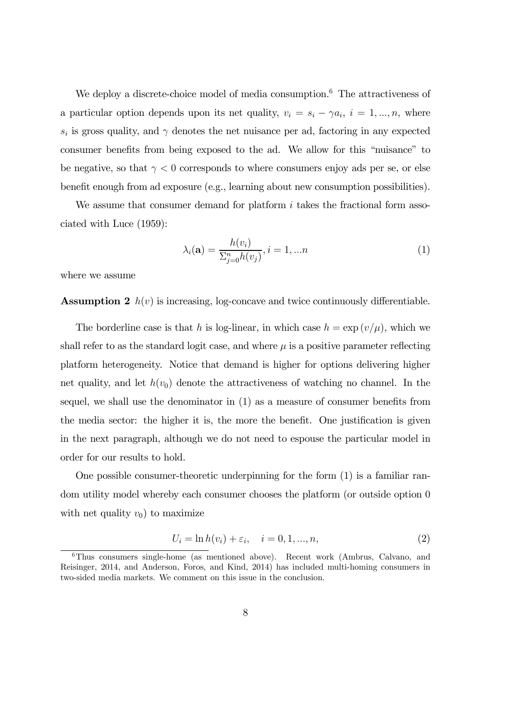We deploy a discrete-choice model of media consumption.<sup>6</sup> The attractiveness of a particular option depends upon its net quality,  $v_i = s_i - \gamma a_i$ ,  $i = 1, ..., n$ , where  $s_i$  is gross quality, and  $\gamma$  denotes the net nuisance per ad, factoring in any expected consumer benefits from being exposed to the ad. We allow for this "nuisance" to be negative, so that  $\gamma < 0$  corresponds to where consumers enjoy ads per se, or else benefit enough from ad exposure (e.g., learning about new consumption possibilities).

We assume that consumer demand for platform  $i$  takes the fractional form associated with Luce (1959):

$$
\lambda_i(\mathbf{a}) = \frac{h(v_i)}{\sum_{j=0}^n h(v_j)}, i = 1, \dots n
$$
\n(1)

where we assume

**Assumption 2**  $h(v)$  is increasing, log-concave and twice continuously differentiable.

The borderline case is that h is log-linear, in which case  $h = \exp(v/\mu)$ , which we shall refer to as the standard logit case, and where  $\mu$  is a positive parameter reflecting platform heterogeneity. Notice that demand is higher for options delivering higher net quality, and let  $h(v_0)$  denote the attractiveness of watching no channel. In the sequel, we shall use the denominator in (1) as a measure of consumer benefits from the media sector: the higher it is, the more the benefit. One justification is given in the next paragraph, although we do not need to espouse the particular model in order for our results to hold.

One possible consumer-theoretic underpinning for the form (1) is a familiar random utility model whereby each consumer chooses the platform (or outside option 0 with net quality  $v_0$  to maximize

$$
U_i = \ln h(v_i) + \varepsilon_i, \quad i = 0, 1, ..., n,
$$
\n(2)

<sup>6</sup>Thus consumers single-home (as mentioned above). Recent work (Ambrus, Calvano, and Reisinger, 2014, and Anderson, Foros, and Kind, 2014) has included multi-homing consumers in two-sided media markets. We comment on this issue in the conclusion.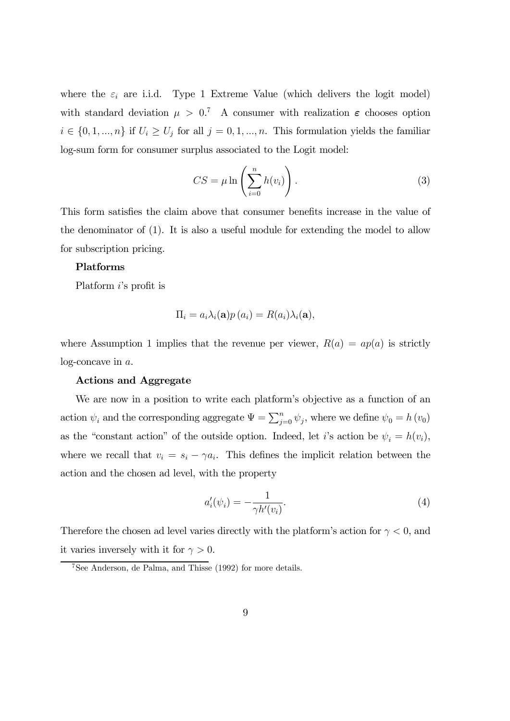where the  $\varepsilon_i$  are i.i.d. Type 1 Extreme Value (which delivers the logit model) with standard deviation  $\mu > 0$ .<sup>7</sup> A consumer with realization  $\varepsilon$  chooses option  $i \in \{0, 1, ..., n\}$  if  $U_i \geq U_j$  for all  $j = 0, 1, ..., n$ . This formulation yields the familiar log-sum form for consumer surplus associated to the Logit model:

$$
CS = \mu \ln \left( \sum_{i=0}^{n} h(v_i) \right). \tag{3}
$$

This form satisfies the claim above that consumer benefits increase in the value of the denominator of (1). It is also a useful module for extending the model to allow for subscription pricing.

#### Platforms

Platform *i*'s profit is

$$
\Pi_i = a_i \lambda_i(\mathbf{a}) p(a_i) = R(a_i) \lambda_i(\mathbf{a}),
$$

where Assumption 1 implies that the revenue per viewer,  $R(a) = ap(a)$  is strictly  $log\$ -concave in  $a$ .

#### Actions and Aggregate

We are now in a position to write each platform's objective as a function of an action  $\psi_i$  and the corresponding aggregate  $\Psi = \sum_{j=0}^n \psi_j$ , where we define  $\psi_0 = h(\nu_0)$ as the "constant action" of the outside option. Indeed, let i's action be  $\psi_i = h(v_i)$ , where we recall that  $v_i = s_i - \gamma a_i$ . This defines the implicit relation between the action and the chosen ad level, with the property

$$
a_i'(\psi_i) = -\frac{1}{\gamma h'(v_i)}.\tag{4}
$$

Therefore the chosen ad level varies directly with the platform's action for  $\gamma < 0$ , and it varies inversely with it for  $\gamma > 0$ .

<sup>7</sup>See Anderson, de Palma, and Thisse (1992) for more details.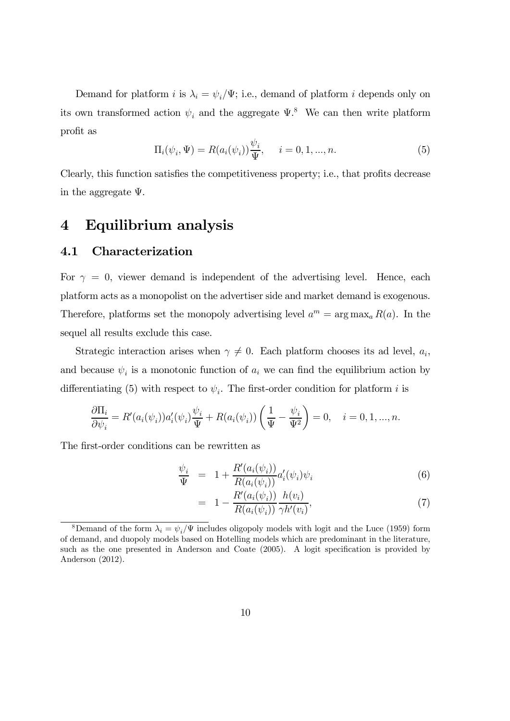Demand for platform *i* is  $\lambda_i = \psi_i/\Psi$ ; i.e., demand of platform *i* depends only on its own transformed action  $\psi_i$  and the aggregate  $\Psi$ .<sup>8</sup> We can then write platform profit as

$$
\Pi_i(\psi_i, \Psi) = R(a_i(\psi_i)) \frac{\psi_i}{\Psi}, \quad i = 0, 1, ..., n.
$$
\n(5)

Clearly, this function satisfies the competitiveness property; i.e., that profits decrease in the aggregate Ψ.

# 4 Equilibrium analysis

### 4.1 Characterization

For  $\gamma = 0$ , viewer demand is independent of the advertising level. Hence, each platform acts as a monopolist on the advertiser side and market demand is exogenous. Therefore, platforms set the monopoly advertising level  $a^m = \arg \max_a R(a)$ . In the sequel all results exclude this case.

Strategic interaction arises when  $\gamma \neq 0$ . Each platform chooses its ad level,  $a_i$ , and because  $\psi_i$  is a monotonic function of  $a_i$  we can find the equilibrium action by differentiating (5) with respect to  $\psi_i$ . The first-order condition for platform *i* is

$$
\frac{\partial \Pi_i}{\partial \psi_i} = R'(a_i(\psi_i))a'_i(\psi_i)\frac{\psi_i}{\Psi} + R(a_i(\psi_i))\left(\frac{1}{\Psi} - \frac{\psi_i}{\Psi^2}\right) = 0, \quad i = 0, 1, ..., n.
$$

The first-order conditions can be rewritten as

$$
\frac{\psi_i}{\Psi} = 1 + \frac{R'(a_i(\psi_i))}{R(a_i(\psi_i))} a'_i(\psi_i)\psi_i
$$
\n(6)

$$
= 1 - \frac{R'(a_i(\psi_i))}{R(a_i(\psi_i))} \frac{h(v_i)}{\gamma h'(v_i)},
$$
\n(7)

<sup>&</sup>lt;sup>8</sup>Demand of the form  $\lambda_i = \psi_i/\Psi$  includes oligopoly models with logit and the Luce (1959) form of demand, and duopoly models based on Hotelling models which are predominant in the literature, such as the one presented in Anderson and Coate (2005). A logit specification is provided by Anderson (2012).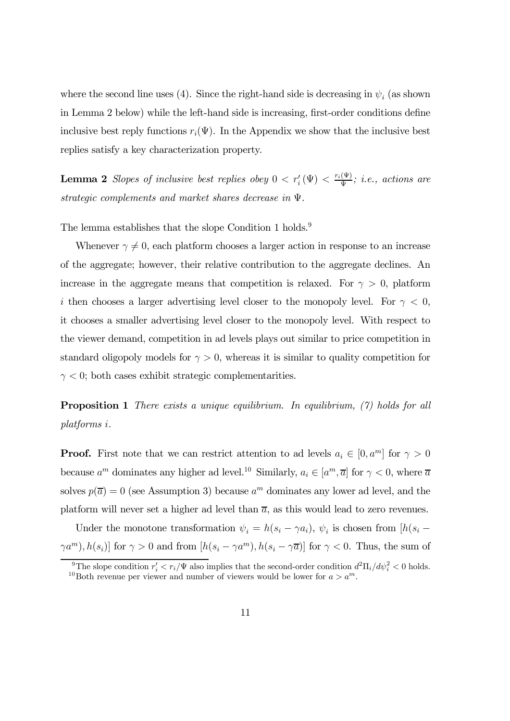where the second line uses (4). Since the right-hand side is decreasing in  $\psi_i$  (as shown in Lemma 2 below) while the left-hand side is increasing, first-order conditions define inclusive best reply functions  $r_i(\Psi)$ . In the Appendix we show that the inclusive best replies satisfy a key characterization property.

**Lemma 2** Slopes of inclusive best replies obey  $0 < r'_i(\Psi) < \frac{r_i(\Psi)}{\Psi}$ ; i.e., actions are strategic complements and market shares decrease in Ψ.

The lemma establishes that the slope Condition 1 holds.<sup>9</sup>

Whenever  $\gamma \neq 0$ , each platform chooses a larger action in response to an increase of the aggregate; however, their relative contribution to the aggregate declines. An increase in the aggregate means that competition is relaxed. For  $\gamma > 0$ , platform i then chooses a larger advertising level closer to the monopoly level. For  $\gamma < 0$ , it chooses a smaller advertising level closer to the monopoly level. With respect to the viewer demand, competition in ad levels plays out similar to price competition in standard oligopoly models for  $\gamma > 0$ , whereas it is similar to quality competition for  $\gamma$  < 0; both cases exhibit strategic complementarities.

**Proposition 1** There exists a unique equilibrium. In equilibrium, (7) holds for all  $\mathit{platforms}\ i.$ 

**Proof.** First note that we can restrict attention to ad levels  $a_i \in [0, a^m]$  for  $\gamma > 0$ because  $a^m$  dominates any higher ad level.<sup>10</sup> Similarly,  $a_i \in [a^m, \overline{a}]$  for  $\gamma < 0$ , where  $\overline{a}$ solves  $p(\overline{a})=0$  (see Assumption 3) because  $a^m$  dominates any lower ad level, and the platform will never set a higher ad level than  $\overline{a}$ , as this would lead to zero revenues.

Under the monotone transformation  $\psi_i = h(s_i - \gamma a_i)$ ,  $\psi_i$  is chosen from  $[h(s_i \gamma a^m$ ,  $h(s_i)$  for  $\gamma > 0$  and from  $[h(s_i - \gamma a^m), h(s_i - \gamma \overline{a})]$  for  $\gamma < 0$ . Thus, the sum of

<sup>&</sup>lt;sup>9</sup>The slope condition  $r'_i < r_i/\Psi$  also implies that the second-order condition  $d^2\Pi_i/d\psi_i^2 < 0$  holds. <sup>10</sup>Both revenue per viewer and number of viewers would be lower for  $a > a<sup>m</sup>$ .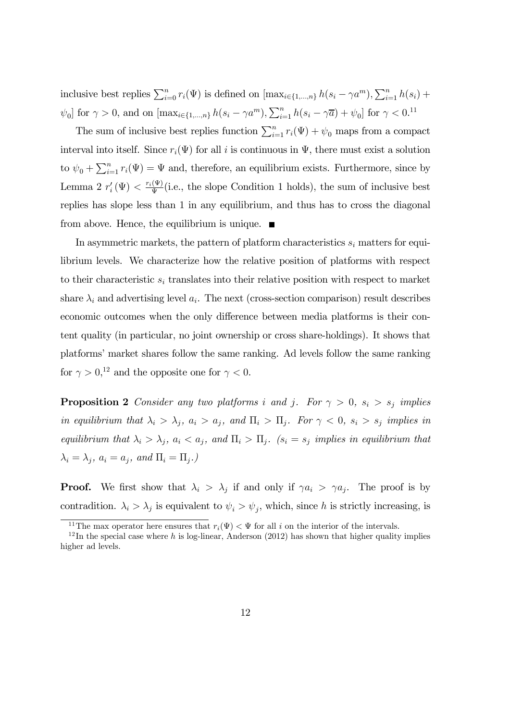inclusive best replies  $\sum_{i=0}^{n} r_i(\Psi)$  is defined on  $[\max_{i\in\{1,\dots,n\}} h(s_i - \gamma a^m), \sum_{i=1}^{n} h(s_i) +$  $\psi_0$  for  $\gamma > 0$ , and on  $[\max_{i \in \{1, ..., n\}} h(s_i - \gamma a^m), \sum_{i=1}^n h(s_i - \gamma \overline{a}) + \psi_0]$  for  $\gamma < 0$ .<sup>11</sup>

The sum of inclusive best replies function  $\sum_{i=1}^{n} r_i(\Psi) + \psi_0$  maps from a compact interval into itself. Since  $r_i(\Psi)$  for all i is continuous in  $\Psi$ , there must exist a solution to  $\psi_0 + \sum_{i=1}^n r_i(\Psi) = \Psi$  and, therefore, an equilibrium exists. Furthermore, since by Lemma 2  $r'_i(\Psi) < \frac{r_i(\Psi)}{\Psi}$  (i.e., the slope Condition 1 holds), the sum of inclusive best replies has slope less than 1 in any equilibrium, and thus has to cross the diagonal from above. Hence, the equilibrium is unique.  $\blacksquare$ 

In asymmetric markets, the pattern of platform characteristics  $s_i$  matters for equilibrium levels. We characterize how the relative position of platforms with respect to their characteristic  $s_i$  translates into their relative position with respect to market share  $\lambda_i$  and advertising level  $a_i$ . The next (cross-section comparison) result describes economic outcomes when the only difference between media platforms is their content quality (in particular, no joint ownership or cross share-holdings). It shows that platforms' market shares follow the same ranking. Ad levels follow the same ranking for  $\gamma > 0$ <sup>12</sup> and the opposite one for  $\gamma < 0$ .

**Proposition 2** Consider any two platforms *i* and *j*. For  $\gamma > 0$ ,  $s_i > s_j$  implies in equilibrium that  $\lambda_i > \lambda_j$ ,  $a_i > a_j$ , and  $\Pi_i > \Pi_j$ . For  $\gamma < 0$ ,  $s_i > s_j$  implies in equilibrium that  $\lambda_i > \lambda_j$ ,  $a_i < a_j$ , and  $\Pi_i > \Pi_j$ .  $(s_i = s_j$  implies in equilibrium that  $\lambda_i = \lambda_j$ ,  $a_i = a_j$ , and  $\Pi_i = \Pi_j$ .)

**Proof.** We first show that  $\lambda_i > \lambda_j$  if and only if  $\gamma a_i > \gamma a_j$ . The proof is by contradition.  $\lambda_i > \lambda_j$  is equivalent to  $\psi_i > \psi_j$ , which, since h is strictly increasing, is

<sup>&</sup>lt;sup>11</sup>The max operator here ensures that  $r_i(\Psi) < \Psi$  for all *i* on the interior of the intervals.

 $12$ In the special case where h is log-linear, Anderson (2012) has shown that higher quality implies higher ad levels.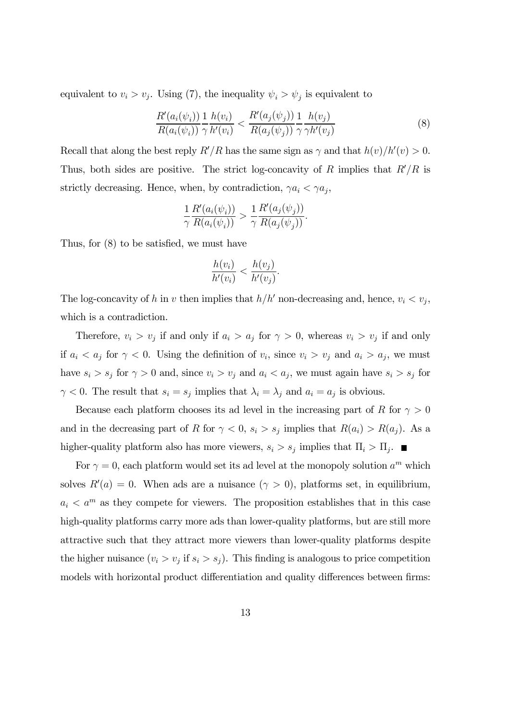equivalent to  $v_i > v_j$ . Using (7), the inequality  $\psi_i > \psi_j$  is equivalent to

$$
\frac{R'(a_i(\psi_i))}{R(a_i(\psi_i))} \frac{1}{\gamma} \frac{h(v_i)}{h'(v_i)} < \frac{R'(a_j(\psi_j))}{R(a_j(\psi_j))} \frac{1}{\gamma} \frac{h(v_j)}{\gamma h'(v_j)}\tag{8}
$$

Recall that along the best reply  $R'/R$  has the same sign as  $\gamma$  and that  $h(v)/h'(v) > 0$ . Thus, both sides are positive. The strict log-concavity of R implies that  $R'/R$  is strictly decreasing. Hence, when, by contradiction,  $\gamma a_i < \gamma a_j$ ,

$$
\frac{1}{\gamma} \frac{R'(a_i(\psi_i))}{R(a_i(\psi_i))} > \frac{1}{\gamma} \frac{R'(a_j(\psi_j))}{R(a_j(\psi_j))}.
$$

Thus, for (8) to be satisfied, we must have

$$
\frac{h(v_i)}{h'(v_i)} < \frac{h(v_j)}{h'(v_j)}.
$$

The log-concavity of h in v then implies that  $h/h'$  non-decreasing and, hence,  $v_i < v_j$ , which is a contradiction.

Therefore,  $v_i > v_j$  if and only if  $a_i > a_j$  for  $\gamma > 0$ , whereas  $v_i > v_j$  if and only if  $a_i < a_j$  for  $\gamma < 0$ . Using the definition of  $v_i$ , since  $v_i > v_j$  and  $a_i > a_j$ , we must have  $s_i > s_j$  for  $\gamma > 0$  and, since  $v_i > v_j$  and  $a_i < a_j$ , we must again have  $s_i > s_j$  for  $\gamma$  < 0. The result that  $s_i = s_j$  implies that  $\lambda_i = \lambda_j$  and  $a_i = a_j$  is obvious.

Because each platform chooses its ad level in the increasing part of R for  $\gamma > 0$ and in the decreasing part of R for  $\gamma < 0$ ,  $s_i > s_j$  implies that  $R(a_i) > R(a_j)$ . As a higher-quality platform also has more viewers,  $s_i > s_j$  implies that  $\Pi_i > \Pi_j$ .

For  $\gamma = 0$ , each platform would set its ad level at the monopoly solution  $a^m$  which solves  $R'(a) = 0$ . When ads are a nuisance  $(\gamma > 0)$ , platforms set, in equilibrium,  $a_i < a^m$  as they compete for viewers. The proposition establishes that in this case high-quality platforms carry more ads than lower-quality platforms, but are still more attractive such that they attract more viewers than lower-quality platforms despite the higher nuisance  $(v_i > v_j \text{ if } s_i > s_j)$ . This finding is analogous to price competition models with horizontal product differentiation and quality differences between firms: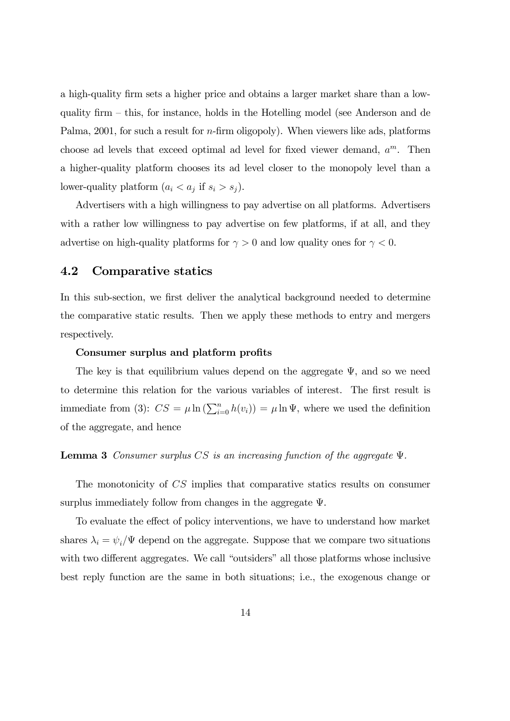a high-quality firm sets a higher price and obtains a larger market share than a lowquality firm — this, for instance, holds in the Hotelling model (see Anderson and de Palma,  $2001$ , for such a result for *n*-firm oligopoly). When viewers like ads, platforms choose ad levels that exceed optimal ad level for fixed viewer demand,  $a^m$ . Then a higher-quality platform chooses its ad level closer to the monopoly level than a lower-quality platform  $(a_i < a_j \text{ if } s_i > s_j).$ 

Advertisers with a high willingness to pay advertise on all platforms. Advertisers with a rather low willingness to pay advertise on few platforms, if at all, and they advertise on high-quality platforms for  $\gamma > 0$  and low quality ones for  $\gamma < 0$ .

### 4.2 Comparative statics

In this sub-section, we first deliver the analytical background needed to determine the comparative static results. Then we apply these methods to entry and mergers respectively.

#### Consumer surplus and platform profits

The key is that equilibrium values depend on the aggregate  $\Psi$ , and so we need to determine this relation for the various variables of interest. The first result is immediate from (3):  $CS = \mu \ln \left( \sum_{i=0}^{n} h(v_i) \right) = \mu \ln \Psi$ , where we used the definition of the aggregate, and hence

### **Lemma 3** Consumer surplus  $CS$  is an increasing function of the aggregate  $\Psi$ .

The monotonicity of  $CS$  implies that comparative statics results on consumer surplus immediately follow from changes in the aggregate Ψ.

To evaluate the effect of policy interventions, we have to understand how market shares  $\lambda_i = \psi_i/\Psi$  depend on the aggregate. Suppose that we compare two situations with two different aggregates. We call "outsiders" all those platforms whose inclusive best reply function are the same in both situations; i.e., the exogenous change or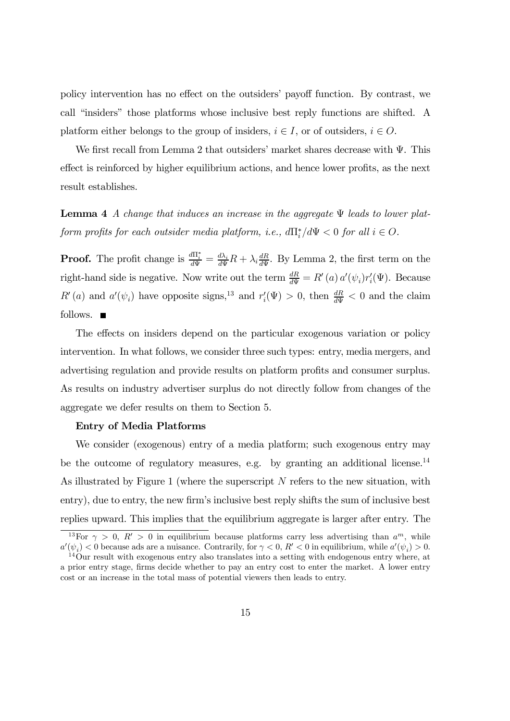policy intervention has no effect on the outsiders' payoff function. By contrast, we call "insiders" those platforms whose inclusive best reply functions are shifted. A platform either belongs to the group of insiders,  $i \in I$ , or of outsiders,  $i \in O$ .

We first recall from Lemma 2 that outsiders' market shares decrease with  $\Psi$ . This effect is reinforced by higher equilibrium actions, and hence lower profits, as the next result establishes.

**Lemma 4** A change that induces an increase in the aggregate  $\Psi$  leads to lower platform profits for each outsider media platform, i.e.,  $d\Pi_i^*/d\Psi < 0$  for all  $i \in O$ .

**Proof.** The profit change is  $\frac{dN_i^*}{d\Psi} = \frac{d\lambda_i}{d\Psi}R + \lambda_i \frac{dR}{d\Psi}$ . By Lemma 2, the first term on the right-hand side is negative. Now write out the term  $\frac{dR}{d\Psi} = R'(a) a'(\psi_i) r'_i(\Psi)$ . Because  $R'(a)$  and  $a'(\psi_i)$  have opposite signs,<sup>13</sup> and  $r'_i(\Psi) > 0$ , then  $\frac{dR}{d\Psi} < 0$  and the claim follows.  $\blacksquare$ 

The effects on insiders depend on the particular exogenous variation or policy intervention. In what follows, we consider three such types: entry, media mergers, and advertising regulation and provide results on platform profits and consumer surplus. As results on industry advertiser surplus do not directly follow from changes of the aggregate we defer results on them to Section 5.

#### Entry of Media Platforms

We consider (exogenous) entry of a media platform; such exogenous entry may be the outcome of regulatory measures, e.g. by granting an additional license.<sup>14</sup> As illustrated by Figure 1 (where the superscript  $N$  refers to the new situation, with entry), due to entry, the new firm's inclusive best reply shifts the sum of inclusive best replies upward. This implies that the equilibrium aggregate is larger after entry. The

<sup>&</sup>lt;sup>13</sup>For  $\gamma > 0$ ,  $R' > 0$  in equilibrium because platforms carry less advertising than  $a^m$ , while  $a'(\psi_i) < 0$  because ads are a nuisance. Contrarily, for  $\gamma < 0$ ,  $R' < 0$  in equilibrium, while  $a'$ 

 $14\,\text{O}$ ur result with exogenous entry also translates into a setting with endogenous entry where, at a prior entry stage, firms decide whether to pay an entry cost to enter the market. A lower entry cost or an increase in the total mass of potential viewers then leads to entry.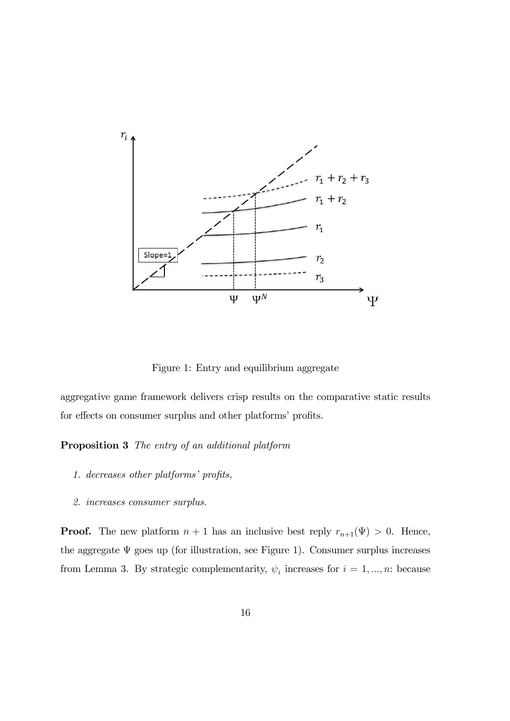

Figure 1: Entry and equilibrium aggregate

aggregative game framework delivers crisp results on the comparative static results for effects on consumer surplus and other platforms' profits.

Proposition 3 The entry of an additional platform

- 1. decreases other platforms' profits,
- 2. increases consumer surplus.

**Proof.** The new platform  $n + 1$  has an inclusive best reply  $r_{n+1}(\Psi) > 0$ . Hence, the aggregate  $\Psi$  goes up (for illustration, see Figure 1). Consumer surplus increases from Lemma 3. By strategic complementarity,  $\psi_i$  increases for  $i = 1, ..., n$ : because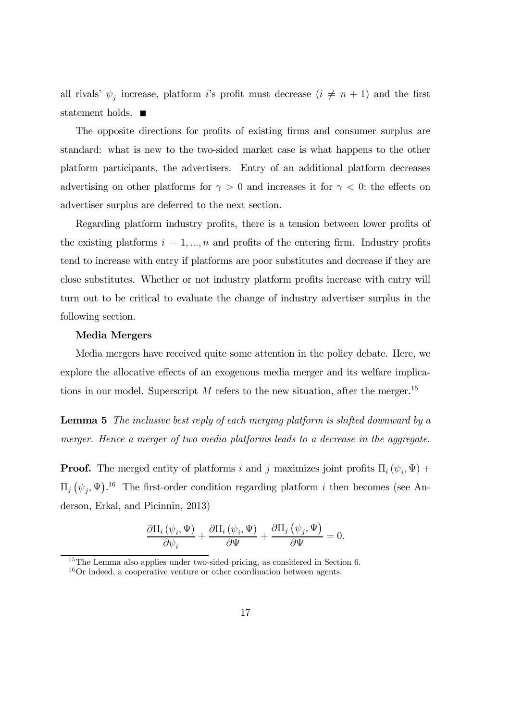all rivals'  $\psi_j$  increase, platform i's profit must decrease  $(i \neq n+1)$  and the first statement holds.  $\blacksquare$ 

The opposite directions for profits of existing firms and consumer surplus are standard: what is new to the two-sided market case is what happens to the other platform participants, the advertisers. Entry of an additional platform decreases advertising on other platforms for  $\gamma > 0$  and increases it for  $\gamma < 0$ : the effects on advertiser surplus are deferred to the next section.

Regarding platform industry profits, there is a tension between lower profits of the existing platforms  $i = 1, ..., n$  and profits of the entering firm. Industry profits tend to increase with entry if platforms are poor substitutes and decrease if they are close substitutes. Whether or not industry platform profits increase with entry will turn out to be critical to evaluate the change of industry advertiser surplus in the following section.

#### Media Mergers

Media mergers have received quite some attention in the policy debate. Here, we explore the allocative effects of an exogenous media merger and its welfare implications in our model. Superscript  $M$  refers to the new situation, after the merger.<sup>15</sup>

Lemma 5 The inclusive best reply of each merging platform is shifted downward by a merger. Hence a merger of two media platforms leads to a decrease in the aggregate.

**Proof.** The merged entity of platforms *i* and *j* maximizes joint profits  $\Pi_i(\psi_i, \Psi)$  +  $\Pi_j(\psi_j, \Psi)$ <sup>16</sup> The first-order condition regarding platform *i* then becomes (see Anderson, Erkal, and Picinnin, 2013)

$$
\frac{\partial \Pi_i(\psi_i,\Psi)}{\partial \psi_i} + \frac{\partial \Pi_i(\psi_i,\Psi)}{\partial \Psi} + \frac{\partial \Pi_j(\psi_j,\Psi)}{\partial \Psi} = 0.
$$

<sup>15</sup>The Lemma also applies under two-sided pricing, as considered in Section 6.

<sup>&</sup>lt;sup>16</sup>Or indeed, a cooperative venture or other coordination between agents.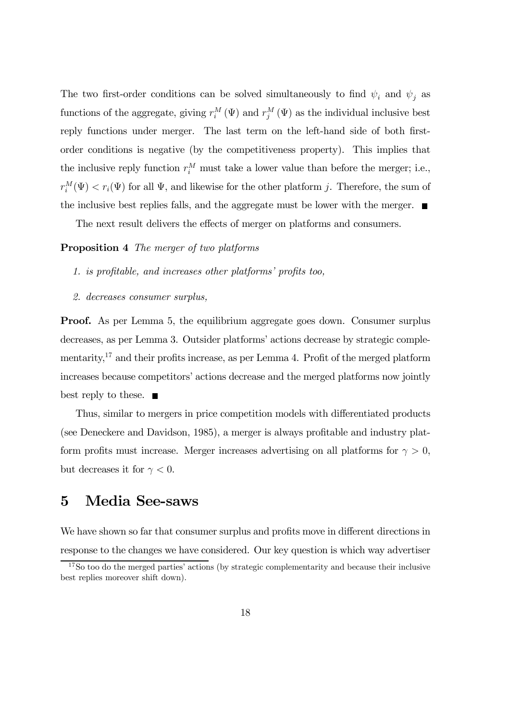The two first-order conditions can be solved simultaneously to find  $\psi_i$  and  $\psi_j$  as functions of the aggregate, giving  $r_i^M(\Psi)$  and  $r_j^M(\Psi)$  as the individual inclusive best reply functions under merger. The last term on the left-hand side of both firstorder conditions is negative (by the competitiveness property). This implies that the inclusive reply function  $r_i^M$  must take a lower value than before the merger; i.e.,  $r_i^M(\Psi) < r_i(\Psi)$  for all  $\Psi$ , and likewise for the other platform j. Therefore, the sum of the inclusive best replies falls, and the aggregate must be lower with the merger.  $\blacksquare$ 

The next result delivers the effects of merger on platforms and consumers.

#### Proposition 4 The merger of two platforms

- 1. is profitable, and increases other platforms' profits too,
- 2. decreases consumer surplus,

**Proof.** As per Lemma 5, the equilibrium aggregate goes down. Consumer surplus decreases, as per Lemma 3. Outsider platforms' actions decrease by strategic complementarity,17 and their profits increase, as per Lemma 4. Profit of the merged platform increases because competitors' actions decrease and the merged platforms now jointly best reply to these.  $\blacksquare$ 

Thus, similar to mergers in price competition models with differentiated products (see Deneckere and Davidson, 1985), a merger is always profitable and industry platform profits must increase. Merger increases advertising on all platforms for  $\gamma > 0$ , but decreases it for  $\gamma < 0$ .

# 5 Media See-saws

We have shown so far that consumer surplus and profits move in different directions in response to the changes we have considered. Our key question is which way advertiser

<sup>&</sup>lt;sup>17</sup>So too do the merged parties' actions (by strategic complementarity and because their inclusive best replies moreover shift down).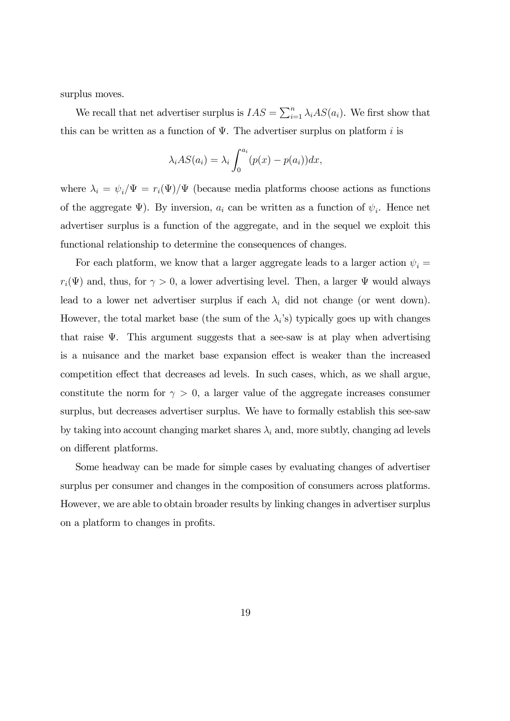surplus moves.

We recall that net advertiser surplus is  $IAS = \sum_{i=1}^{n} \lambda_i AS(a_i)$ . We first show that this can be written as a function of  $\Psi$ . The advertiser surplus on platform *i* is

$$
\lambda_i AS(a_i) = \lambda_i \int_0^{a_i} (p(x) - p(a_i)) dx,
$$

where  $\lambda_i = \psi_i / \Psi = r_i(\Psi) / \Psi$  (because media platforms choose actions as functions of the aggregate  $\Psi$ ). By inversion,  $a_i$  can be written as a function of  $\psi_i$ . Hence net advertiser surplus is a function of the aggregate, and in the sequel we exploit this functional relationship to determine the consequences of changes.

For each platform, we know that a larger aggregate leads to a larger action  $\psi_i =$  $r_i(\Psi)$  and, thus, for  $\gamma > 0$ , a lower advertising level. Then, a larger  $\Psi$  would always lead to a lower net advertiser surplus if each  $\lambda_i$  did not change (or went down). However, the total market base (the sum of the  $\lambda_i$ 's) typically goes up with changes that raise  $\Psi$ . This argument suggests that a see-saw is at play when advertising is a nuisance and the market base expansion effect is weaker than the increased competition effect that decreases ad levels. In such cases, which, as we shall argue, constitute the norm for  $\gamma > 0$ , a larger value of the aggregate increases consumer surplus, but decreases advertiser surplus. We have to formally establish this see-saw by taking into account changing market shares  $\lambda_i$  and, more subtly, changing ad levels on different platforms.

Some headway can be made for simple cases by evaluating changes of advertiser surplus per consumer and changes in the composition of consumers across platforms. However, we are able to obtain broader results by linking changes in advertiser surplus on a platform to changes in profits.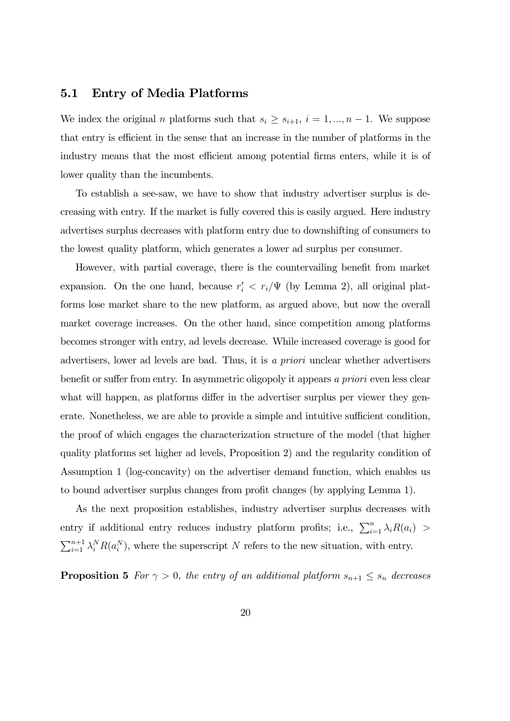### 5.1 Entry of Media Platforms

We index the original *n* platforms such that  $s_i \geq s_{i+1}, i = 1, ..., n-1$ . We suppose that entry is efficient in the sense that an increase in the number of platforms in the industry means that the most efficient among potential firms enters, while it is of lower quality than the incumbents.

To establish a see-saw, we have to show that industry advertiser surplus is decreasing with entry. If the market is fully covered this is easily argued. Here industry advertises surplus decreases with platform entry due to downshifting of consumers to the lowest quality platform, which generates a lower ad surplus per consumer.

However, with partial coverage, there is the countervailing benefit from market expansion. On the one hand, because  $r_i' < r_i/\Psi$  (by Lemma 2), all original platforms lose market share to the new platform, as argued above, but now the overall market coverage increases. On the other hand, since competition among platforms becomes stronger with entry, ad levels decrease. While increased coverage is good for advertisers, lower ad levels are bad. Thus, it is a priori unclear whether advertisers benefit or suffer from entry. In asymmetric oligopoly it appears a priori even less clear what will happen, as platforms differ in the advertiser surplus per viewer they generate. Nonetheless, we are able to provide a simple and intuitive sufficient condition, the proof of which engages the characterization structure of the model (that higher quality platforms set higher ad levels, Proposition 2) and the regularity condition of Assumption 1 (log-concavity) on the advertiser demand function, which enables us to bound advertiser surplus changes from profit changes (by applying Lemma 1).

As the next proposition establishes, industry advertiser surplus decreases with entry if additional entry reduces industry platform profits; i.e.,  $\sum_{i=1}^{n} \lambda_i R(a_i)$  $\sum_{i=1}^{n+1} \lambda_i^N R(a_i^N)$ , where the superscript N refers to the new situation, with entry.

**Proposition 5** For  $\gamma > 0$ , the entry of an additional platform  $s_{n+1} \leq s_n$  decreases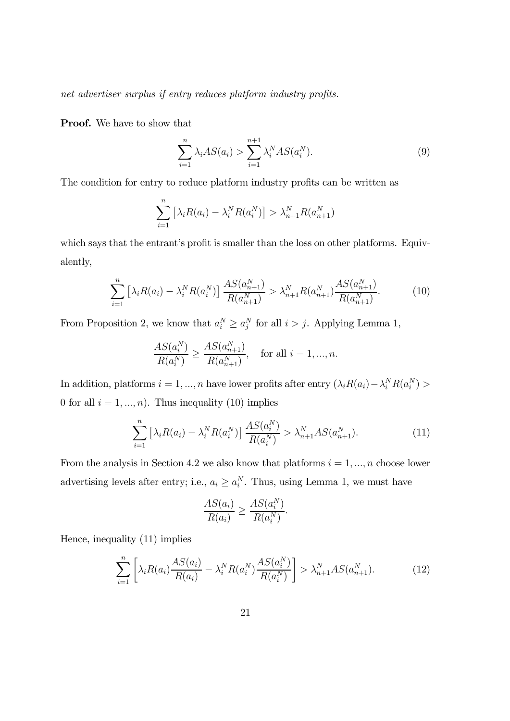net advertiser surplus if entry reduces platform industry profits.

Proof. We have to show that

$$
\sum_{i=1}^{n} \lambda_i AS(a_i) > \sum_{i=1}^{n+1} \lambda_i^N AS(a_i^N).
$$
 (9)

The condition for entry to reduce platform industry profits can be written as

$$
\sum_{i=1}^{n} \left[ \lambda_i R(a_i) - \lambda_i^N R(a_i^N) \right] > \lambda_{n+1}^N R(a_{n+1}^N)
$$

which says that the entrant's profit is smaller than the loss on other platforms. Equivalently,

$$
\sum_{i=1}^{n} \left[ \lambda_i R(a_i) - \lambda_i^N R(a_i^N) \right] \frac{AS(a_{n+1}^N)}{R(a_{n+1}^N)} > \lambda_{n+1}^N R(a_{n+1}^N) \frac{AS(a_{n+1}^N)}{R(a_{n+1}^N)}.
$$
(10)

From Proposition 2, we know that  $a_i^N \ge a_j^N$  for all  $i > j$ . Applying Lemma 1,

$$
\frac{AS(a_i^N)}{R(a_i^N)} \ge \frac{AS(a_{n+1}^N)}{R(a_{n+1}^N)}, \quad \text{for all } i = 1, ..., n.
$$

In addition, platforms  $i = 1, ..., n$  have lower profits after entry  $(\lambda_i R(a_i) - \lambda_i^N R(a_i^N) >$ 0 for all  $i = 1, ..., n$ ). Thus inequality (10) implies

$$
\sum_{i=1}^{n} \left[ \lambda_i R(a_i) - \lambda_i^N R(a_i^N) \right] \frac{AS(a_i^N)}{R(a_i^N)} > \lambda_{n+1}^N AS(a_{n+1}^N). \tag{11}
$$

From the analysis in Section 4.2 we also know that platforms  $i = 1, ..., n$  choose lower advertising levels after entry; i.e.,  $a_i \ge a_i^N$ . Thus, using Lemma 1, we must have

$$
\frac{AS(a_i)}{R(a_i)} \ge \frac{AS(a_i^N)}{R(a_i^N)}.
$$

Hence, inequality (11) implies

$$
\sum_{i=1}^{n} \left[ \lambda_i R(a_i) \frac{AS(a_i)}{R(a_i)} - \lambda_i^N R(a_i^N) \frac{AS(a_i^N)}{R(a_i^N)} \right] > \lambda_{n+1}^N AS(a_{n+1}^N). \tag{12}
$$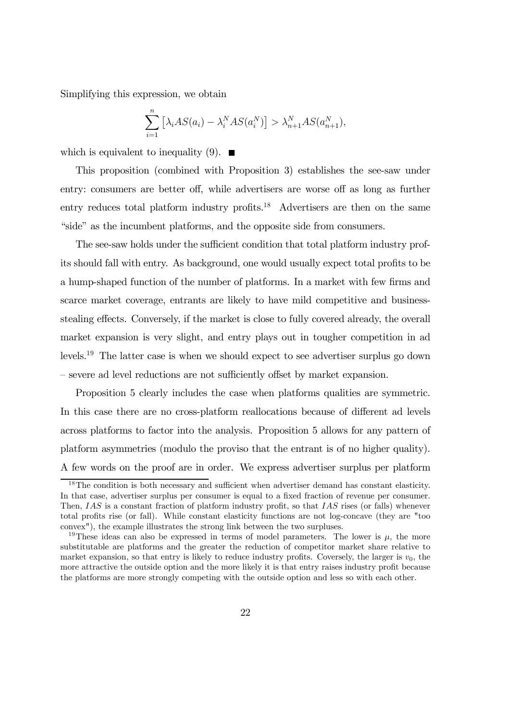Simplifying this expression, we obtain

$$
\sum_{i=1}^{n} \left[ \lambda_i AS(a_i) - \lambda_i^N AS(a_i^N) \right] > \lambda_{n+1}^N AS(a_{n+1}^N),
$$

which is equivalent to inequality (9).  $\blacksquare$ 

This proposition (combined with Proposition 3) establishes the see-saw under entry: consumers are better off, while advertisers are worse off as long as further entry reduces total platform industry profits.<sup>18</sup> Advertisers are then on the same "side" as the incumbent platforms, and the opposite side from consumers.

The see-saw holds under the sufficient condition that total platform industry profits should fall with entry. As background, one would usually expect total profits to be a hump-shaped function of the number of platforms. In a market with few firms and scarce market coverage, entrants are likely to have mild competitive and businessstealing effects. Conversely, if the market is close to fully covered already, the overall market expansion is very slight, and entry plays out in tougher competition in ad levels.19 The latter case is when we should expect to see advertiser surplus go down — severe ad level reductions are not sufficiently offset by market expansion.

Proposition 5 clearly includes the case when platforms qualities are symmetric. In this case there are no cross-platform reallocations because of different ad levels across platforms to factor into the analysis. Proposition 5 allows for any pattern of platform asymmetries (modulo the proviso that the entrant is of no higher quality). A few words on the proof are in order. We express advertiser surplus per platform

<sup>&</sup>lt;sup>18</sup>The condition is both necessary and sufficient when advertiser demand has constant elasticity. In that case, advertiser surplus per consumer is equal to a fixed fraction of revenue per consumer. Then,  $IAS$  is a constant fraction of platform industry profit, so that  $IAS$  rises (or falls) whenever total profits rise (or fall). While constant elasticity functions are not log-concave (they are "too convex"), the example illustrates the strong link between the two surpluses.

<sup>&</sup>lt;sup>19</sup>These ideas can also be expressed in terms of model parameters. The lower is  $\mu$ , the more substitutable are platforms and the greater the reduction of competitor market share relative to market expansion, so that entry is likely to reduce industry profits. Coversely, the larger is  $v_0$ , the more attractive the outside option and the more likely it is that entry raises industry profit because the platforms are more strongly competing with the outside option and less so with each other.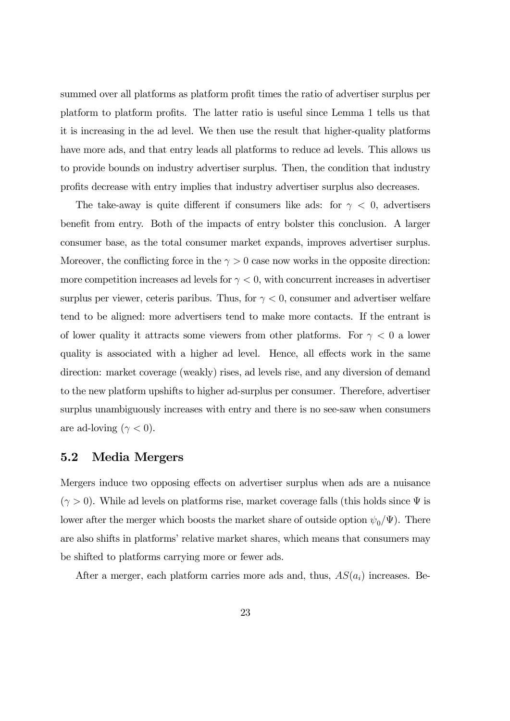summed over all platforms as platform profit times the ratio of advertiser surplus per platform to platform profits. The latter ratio is useful since Lemma 1 tells us that it is increasing in the ad level. We then use the result that higher-quality platforms have more ads, and that entry leads all platforms to reduce ad levels. This allows us to provide bounds on industry advertiser surplus. Then, the condition that industry profits decrease with entry implies that industry advertiser surplus also decreases.

The take-away is quite different if consumers like ads: for  $\gamma < 0$ , advertisers benefit from entry. Both of the impacts of entry bolster this conclusion. A larger consumer base, as the total consumer market expands, improves advertiser surplus. Moreover, the conflicting force in the  $\gamma > 0$  case now works in the opposite direction: more competition increases ad levels for  $\gamma < 0$ , with concurrent increases in advertiser surplus per viewer, ceteris paribus. Thus, for  $\gamma < 0$ , consumer and advertiser welfare tend to be aligned: more advertisers tend to make more contacts. If the entrant is of lower quality it attracts some viewers from other platforms. For  $\gamma < 0$  a lower quality is associated with a higher ad level. Hence, all effects work in the same direction: market coverage (weakly) rises, ad levels rise, and any diversion of demand to the new platform upshifts to higher ad-surplus per consumer. Therefore, advertiser surplus unambiguously increases with entry and there is no see-saw when consumers are ad-loving ( $\gamma < 0$ ).

### 5.2 Media Mergers

Mergers induce two opposing effects on advertiser surplus when ads are a nuisance  $(\gamma > 0)$ . While ad levels on platforms rise, market coverage falls (this holds since  $\Psi$  is lower after the merger which boosts the market share of outside option  $\psi_0/\Psi$ ). There are also shifts in platforms' relative market shares, which means that consumers may be shifted to platforms carrying more or fewer ads.

After a merger, each platform carries more ads and, thus,  $AS(a_i)$  increases. Be-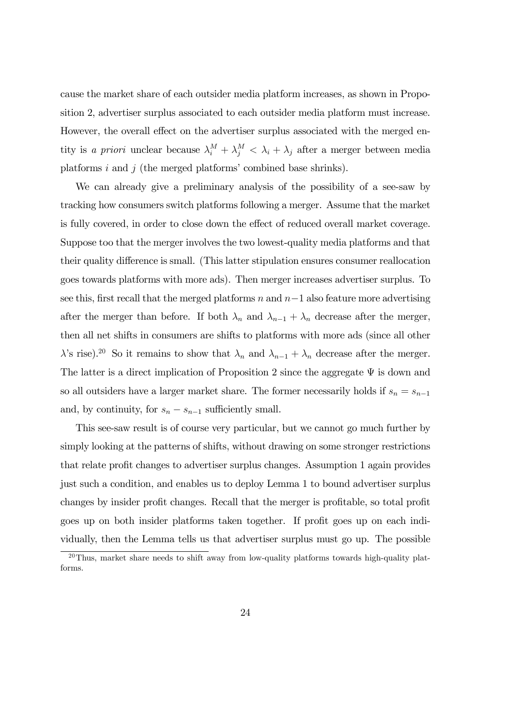cause the market share of each outsider media platform increases, as shown in Proposition 2, advertiser surplus associated to each outsider media platform must increase. However, the overall effect on the advertiser surplus associated with the merged entity is a priori unclear because  $\lambda_i^M + \lambda_j^M < \lambda_i + \lambda_j$  after a merger between media platforms  $i$  and  $j$  (the merged platforms' combined base shrinks).

We can already give a preliminary analysis of the possibility of a see-saw by tracking how consumers switch platforms following a merger. Assume that the market is fully covered, in order to close down the effect of reduced overall market coverage. Suppose too that the merger involves the two lowest-quality media platforms and that their quality difference is small. (This latter stipulation ensures consumer reallocation goes towards platforms with more ads). Then merger increases advertiser surplus. To see this, first recall that the merged platforms  $n$  and  $n-1$  also feature more advertising after the merger than before. If both  $\lambda_n$  and  $\lambda_{n-1} + \lambda_n$  decrease after the merger, then all net shifts in consumers are shifts to platforms with more ads (since all other  $\lambda$ 's rise).<sup>20</sup> So it remains to show that  $\lambda_n$  and  $\lambda_{n-1} + \lambda_n$  decrease after the merger. The latter is a direct implication of Proposition 2 since the aggregate  $\Psi$  is down and so all outsiders have a larger market share. The former necessarily holds if  $s_n = s_{n-1}$ and, by continuity, for  $s_n - s_{n-1}$  sufficiently small.

This see-saw result is of course very particular, but we cannot go much further by simply looking at the patterns of shifts, without drawing on some stronger restrictions that relate profit changes to advertiser surplus changes. Assumption 1 again provides just such a condition, and enables us to deploy Lemma 1 to bound advertiser surplus changes by insider profit changes. Recall that the merger is profitable, so total profit goes up on both insider platforms taken together. If profit goes up on each individually, then the Lemma tells us that advertiser surplus must go up. The possible

 $20$ Thus, market share needs to shift away from low-quality platforms towards high-quality platforms.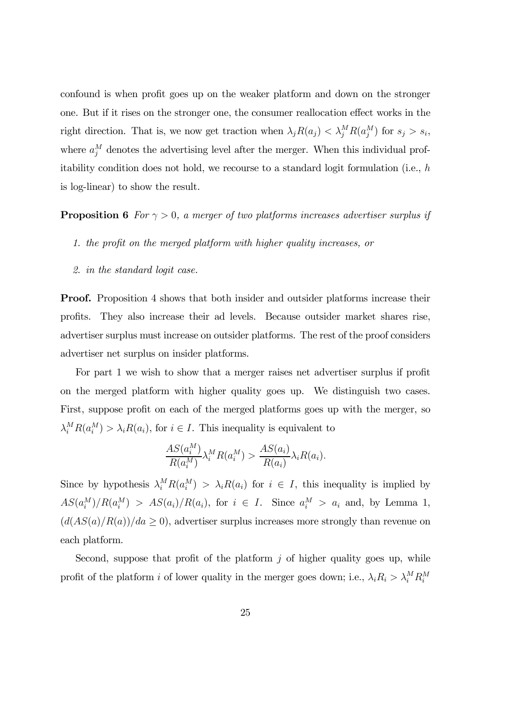confound is when profit goes up on the weaker platform and down on the stronger one. But if it rises on the stronger one, the consumer reallocation effect works in the right direction. That is, we now get traction when  $\lambda_j R(a_j) < \lambda_j^M R(a_j^M)$  for  $s_j > s_i$ , where  $a_j^M$  denotes the advertising level after the merger. When this individual profitability condition does not hold, we recourse to a standard logit formulation (i.e.,  $h$ is log-linear) to show the result.

**Proposition 6** For  $\gamma > 0$ , a merger of two platforms increases advertiser surplus if

- 1. the profit on the merged platform with higher quality increases, or
- 2. in the standard logit case.

**Proof.** Proposition 4 shows that both insider and outsider platforms increase their profits. They also increase their ad levels. Because outsider market shares rise, advertiser surplus must increase on outsider platforms. The rest of the proof considers advertiser net surplus on insider platforms.

For part 1 we wish to show that a merger raises net advertiser surplus if profit on the merged platform with higher quality goes up. We distinguish two cases. First, suppose profit on each of the merged platforms goes up with the merger, so  $\lambda_i^M R(a_i^M) > \lambda_i R(a_i)$ , for  $i \in I$ . This inequality is equivalent to

$$
\frac{AS(a_i^M)}{R(a_i^M)}\lambda_i^M R(a_i^M) > \frac{AS(a_i)}{R(a_i)}\lambda_i R(a_i).
$$

Since by hypothesis  $\lambda_i^M R(a_i^M) > \lambda_i R(a_i)$  for  $i \in I$ , this inequality is implied by  $AS(a_i^M)/R(a_i^M) > AS(a_i)/R(a_i)$ , for  $i \in I$ . Since  $a_i^M > a_i$  and, by Lemma 1,  $(d(AS(a)/R(a))/da \ge 0)$ , advertiser surplus increases more strongly than revenue on each platform.

Second, suppose that profit of the platform  $j$  of higher quality goes up, while profit of the platform *i* of lower quality in the merger goes down; i.e.,  $\lambda_i R_i > \lambda_i^M R_i^M$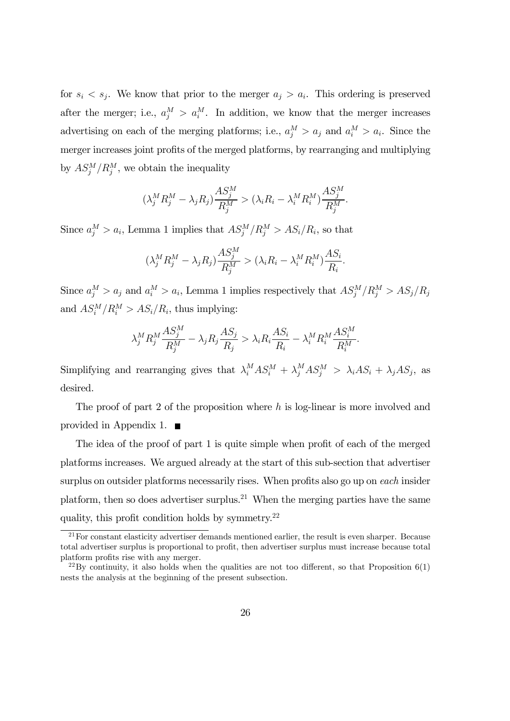for  $s_i < s_j$ . We know that prior to the merger  $a_j > a_i$ . This ordering is preserved after the merger; i.e.,  $a_j^M > a_i^M$ . In addition, we know that the merger increases advertising on each of the merging platforms; i.e.,  $a_j^M > a_j$  and  $a_i^M > a_i$ . Since the merger increases joint profits of the merged platforms, by rearranging and multiplying by  $AS_j^M/R_j^M$ , we obtain the inequality

$$
(\lambda_j^M R_j^M - \lambda_j R_j) \frac{A S_j^M}{R_j^M} > (\lambda_i R_i - \lambda_i^M R_i^M) \frac{A S_j^M}{R_j^M}.
$$

Since  $a_j^M > a_i$ , Lemma 1 implies that  $AS_j^M/R_j^M > AS_i/R_i$ , so that

$$
(\lambda_j^M R_j^M - \lambda_j R_j) \frac{A S_j^M}{R_j^M} > (\lambda_i R_i - \lambda_i^M R_i^M) \frac{A S_i}{R_i}.
$$

Since  $a_j^M > a_j$  and  $a_i^M > a_i$ , Lemma 1 implies respectively that  $AS_j^M/R_j^M > AS_j/R_j$ and  $AS_i^M/R_i^M > AS_i/R_i$ , thus implying:

$$
\lambda_j^M R_j^M \frac{AS_j^M}{R_j^M} - \lambda_j R_j \frac{AS_j}{R_j} > \lambda_i R_i \frac{AS_i}{R_i} - \lambda_i^M R_i^M \frac{AS_i^M}{R_i^M}.
$$

Simplifying and rearranging gives that  $\lambda_i^M AS_i^M + \lambda_j^M AS_j^M > \lambda_i AS_i + \lambda_j AS_j$ , as desired.

The proof of part 2 of the proposition where  $h$  is log-linear is more involved and provided in Appendix 1.  $\blacksquare$ 

The idea of the proof of part 1 is quite simple when profit of each of the merged platforms increases. We argued already at the start of this sub-section that advertiser surplus on outsider platforms necessarily rises. When profits also go up on each insider platform, then so does advertiser surplus.<sup>21</sup> When the merging parties have the same quality, this profit condition holds by symmetry.22

 $21$  For constant elasticity advertiser demands mentioned earlier, the result is even sharper. Because total advertiser surplus is proportional to profit, then advertiser surplus must increase because total platform profits rise with any merger.

 $^{22}$ By continuity, it also holds when the qualities are not too different, so that Proposition 6(1) nests the analysis at the beginning of the present subsection.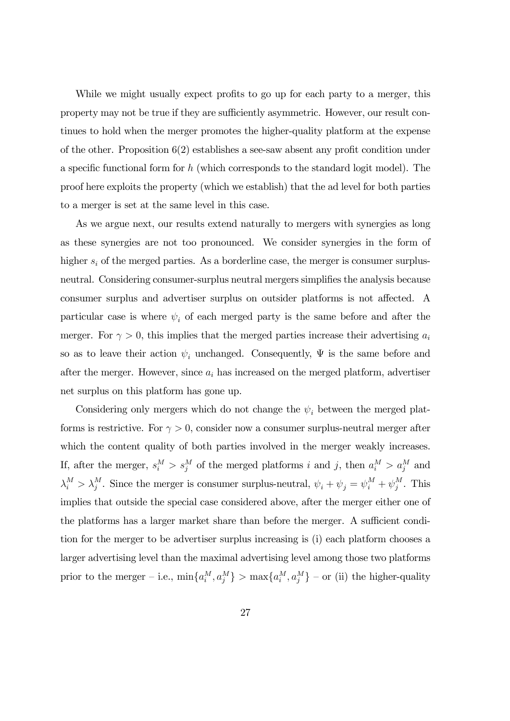While we might usually expect profits to go up for each party to a merger, this property may not be true if they are sufficiently asymmetric. However, our result continues to hold when the merger promotes the higher-quality platform at the expense of the other. Proposition 6(2) establishes a see-saw absent any profit condition under a specific functional form for  $h$  (which corresponds to the standard logit model). The proof here exploits the property (which we establish) that the ad level for both parties to a merger is set at the same level in this case.

As we argue next, our results extend naturally to mergers with synergies as long as these synergies are not too pronounced. We consider synergies in the form of higher  $s_i$  of the merged parties. As a borderline case, the merger is consumer surplusneutral. Considering consumer-surplus neutral mergers simplifies the analysis because consumer surplus and advertiser surplus on outsider platforms is not affected. A particular case is where  $\psi_i$  of each merged party is the same before and after the merger. For  $\gamma > 0$ , this implies that the merged parties increase their advertising  $a_i$ so as to leave their action  $\psi_i$  unchanged. Consequently,  $\Psi$  is the same before and after the merger. However, since  $a_i$  has increased on the merged platform, advertiser net surplus on this platform has gone up.

Considering only mergers which do not change the  $\psi_i$  between the merged platforms is restrictive. For  $\gamma > 0$ , consider now a consumer surplus-neutral merger after which the content quality of both parties involved in the merger weakly increases. If, after the merger,  $s_i^M > s_j^M$  of the merged platforms i and j, then  $a_i^M > a_j^M$  and  $\lambda_i^M > \lambda_j^M$ . Since the merger is consumer surplus-neutral,  $\psi_i + \psi_j = \psi_i^M + \psi_j^M$ . This implies that outside the special case considered above, after the merger either one of the platforms has a larger market share than before the merger. A sufficient condition for the merger to be advertiser surplus increasing is (i) each platform chooses a larger advertising level than the maximal advertising level among those two platforms prior to the merger – i.e.,  $\min\{a_i^M, a_j^M\} > \max\{a_i^M, a_j^M\}$  – or (ii) the higher-quality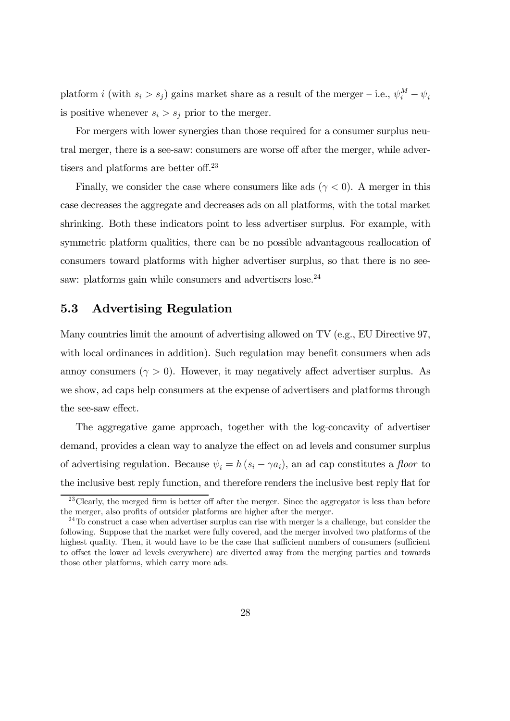platform *i* (with  $s_i > s_j$ ) gains market share as a result of the merger – i.e.,  $\psi_i^M - \psi_i$ is positive whenever  $s_i > s_j$  prior to the merger.

For mergers with lower synergies than those required for a consumer surplus neutral merger, there is a see-saw: consumers are worse off after the merger, while advertisers and platforms are better off. 23

Finally, we consider the case where consumers like ads ( $\gamma$  < 0). A merger in this case decreases the aggregate and decreases ads on all platforms, with the total market shrinking. Both these indicators point to less advertiser surplus. For example, with symmetric platform qualities, there can be no possible advantageous reallocation of consumers toward platforms with higher advertiser surplus, so that there is no seesaw: platforms gain while consumers and advertisers lose.<sup>24</sup>

### 5.3 Advertising Regulation

Many countries limit the amount of advertising allowed on TV (e.g., EU Directive 97, with local ordinances in addition). Such regulation may benefit consumers when ads annoy consumers  $(\gamma > 0)$ . However, it may negatively affect advertiser surplus. As we show, ad caps help consumers at the expense of advertisers and platforms through the see-saw effect.

The aggregative game approach, together with the log-concavity of advertiser demand, provides a clean way to analyze the effect on ad levels and consumer surplus of advertising regulation. Because  $\psi_i = h(s_i - \gamma a_i)$ , an ad cap constitutes a floor to the inclusive best reply function, and therefore renders the inclusive best reply flat for

 $^{23}$ Clearly, the merged firm is better off after the merger. Since the aggregator is less than before the merger, also profits of outsider platforms are higher after the merger.

 $^{24}$ To construct a case when advertiser surplus can rise with merger is a challenge, but consider the following. Suppose that the market were fully covered, and the merger involved two platforms of the highest quality. Then, it would have to be the case that sufficient numbers of consumers (sufficient to offset the lower ad levels everywhere) are diverted away from the merging parties and towards those other platforms, which carry more ads.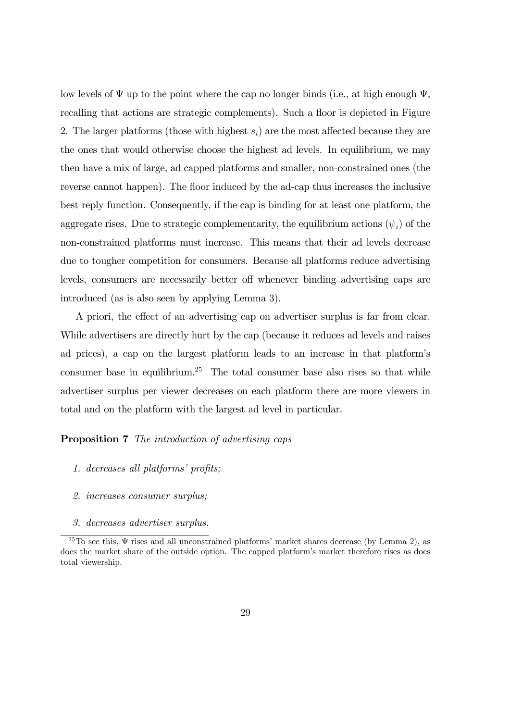low levels of  $\Psi$  up to the point where the cap no longer binds (i.e., at high enough  $\Psi$ , recalling that actions are strategic complements). Such a floor is depicted in Figure 2. The larger platforms (those with highest  $s_i$ ) are the most affected because they are the ones that would otherwise choose the highest ad levels. In equilibrium, we may then have a mix of large, ad capped platforms and smaller, non-constrained ones (the reverse cannot happen). The floor induced by the ad-cap thus increases the inclusive best reply function. Consequently, if the cap is binding for at least one platform, the aggregate rises. Due to strategic complementarity, the equilibrium actions  $(\psi_i)$  of the non-constrained platforms must increase. This means that their ad levels decrease due to tougher competition for consumers. Because all platforms reduce advertising levels, consumers are necessarily better off whenever binding advertising caps are introduced (as is also seen by applying Lemma 3).

A priori, the effect of an advertising cap on advertiser surplus is far from clear. While advertisers are directly hurt by the cap (because it reduces ad levels and raises ad prices), a cap on the largest platform leads to an increase in that platform's consumer base in equilibrium.<sup>25</sup> The total consumer base also rises so that while advertiser surplus per viewer decreases on each platform there are more viewers in total and on the platform with the largest ad level in particular.

**Proposition 7** The introduction of advertising caps

- 1. decreases all platforms' profits;
- 2. increases consumer surplus;
- 3. decreases advertiser surplus.

<sup>&</sup>lt;sup>25</sup>To see this,  $\Psi$  rises and all unconstrained platforms' market shares decrease (by Lemma 2), as does the market share of the outside option. The capped platform's market therefore rises as does total viewership.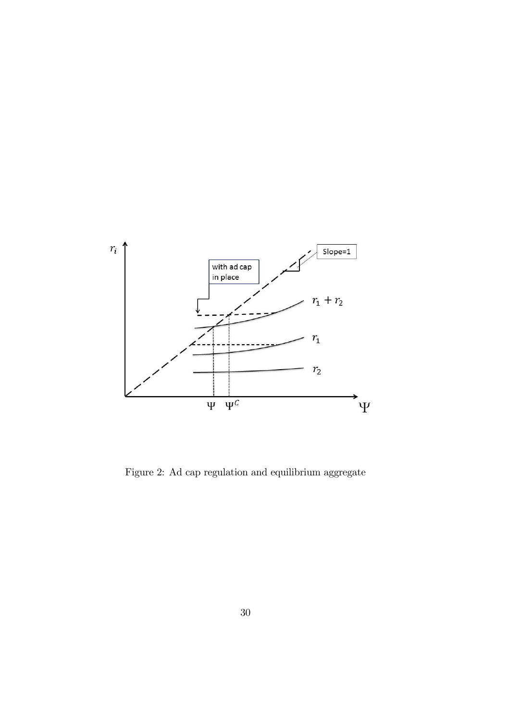

Figure 2: Ad cap regulation and equilibrium aggregate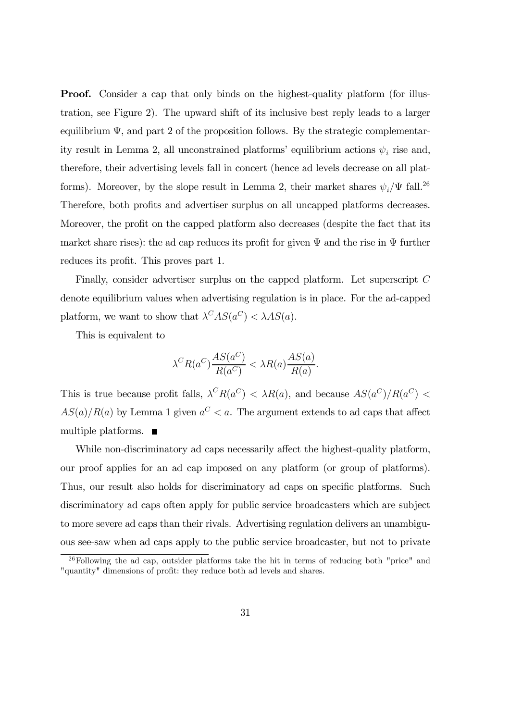**Proof.** Consider a cap that only binds on the highest-quality platform (for illustration, see Figure 2). The upward shift of its inclusive best reply leads to a larger equilibrium  $\Psi$ , and part 2 of the proposition follows. By the strategic complementarity result in Lemma 2, all unconstrained platforms' equilibrium actions  $\psi_i$  rise and, therefore, their advertising levels fall in concert (hence ad levels decrease on all platforms). Moreover, by the slope result in Lemma 2, their market shares  $\psi_i/\Psi$  fall.<sup>26</sup> Therefore, both profits and advertiser surplus on all uncapped platforms decreases. Moreover, the profit on the capped platform also decreases (despite the fact that its market share rises): the ad cap reduces its profit for given  $\Psi$  and the rise in  $\Psi$  further reduces its profit. This proves part 1.

Finally, consider advertiser surplus on the capped platform. Let superscript C denote equilibrium values when advertising regulation is in place. For the ad-capped platform, we want to show that  $\lambda^C AS(a^C) < \lambda AS(a)$ .

This is equivalent to

$$
\lambda^{C} R(a^{C}) \frac{AS(a^{C})}{R(a^{C})} < \lambda R(a) \frac{AS(a)}{R(a)}.
$$

This is true because profit falls,  $\lambda^C R(a^C) < \lambda R(a)$ , and because  $AS(a^C)/R(a^C)$  $AS(a)/R(a)$  by Lemma 1 given  $a^C < a$ . The argument extends to ad caps that affect multiple platforms.  $\blacksquare$ 

While non-discriminatory ad caps necessarily affect the highest-quality platform, our proof applies for an ad cap imposed on any platform (or group of platforms). Thus, our result also holds for discriminatory ad caps on specific platforms. Such discriminatory ad caps often apply for public service broadcasters which are subject to more severe ad caps than their rivals. Advertising regulation delivers an unambiguous see-saw when ad caps apply to the public service broadcaster, but not to private

 $26$ Following the ad cap, outsider platforms take the hit in terms of reducing both "price" and "quantity" dimensions of profit: they reduce both ad levels and shares.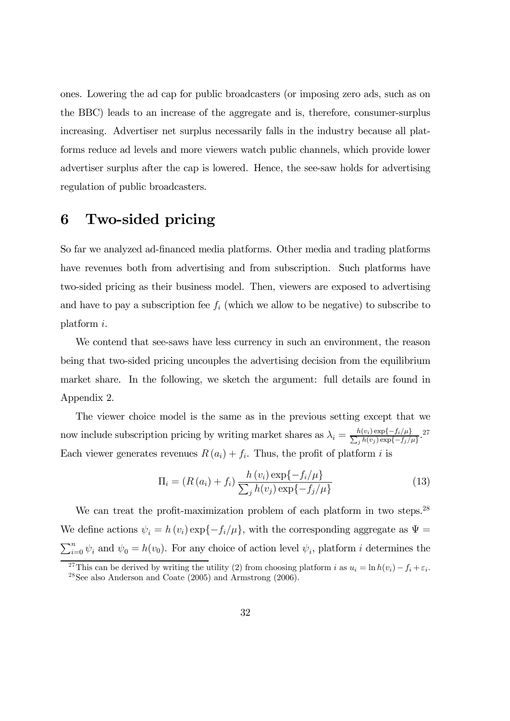ones. Lowering the ad cap for public broadcasters (or imposing zero ads, such as on the BBC) leads to an increase of the aggregate and is, therefore, consumer-surplus increasing. Advertiser net surplus necessarily falls in the industry because all platforms reduce ad levels and more viewers watch public channels, which provide lower advertiser surplus after the cap is lowered. Hence, the see-saw holds for advertising regulation of public broadcasters.

# 6 Two-sided pricing

So far we analyzed ad-financed media platforms. Other media and trading platforms have revenues both from advertising and from subscription. Such platforms have two-sided pricing as their business model. Then, viewers are exposed to advertising and have to pay a subscription fee  $f_i$  (which we allow to be negative) to subscribe to platform  $i$ .

We contend that see-saws have less currency in such an environment, the reason being that two-sided pricing uncouples the advertising decision from the equilibrium market share. In the following, we sketch the argument: full details are found in Appendix 2.

The viewer choice model is the same as in the previous setting except that we now include subscription pricing by writing market shares as  $\lambda_i = \frac{h(v_i) \exp\{-f_i/\mu\}}{\sum_j h(v_j) \exp\{-f_j/\mu\}}$ . Each viewer generates revenues  $R(a_i) + f_i$ . Thus, the profit of platform *i* is

$$
\Pi_{i} = (R(a_{i}) + f_{i}) \frac{h(v_{i}) \exp\{-f_{i}/\mu\}}{\sum_{j} h(v_{j}) \exp\{-f_{j}/\mu\}}
$$
(13)

We can treat the profit-maximization problem of each platform in two steps.<sup>28</sup> We define actions  $\psi_i = h(v_i) \exp{-f_i/\mu}$ , with the corresponding aggregate as  $\Psi =$  $\sum_{i=0}^{n} \psi_i$  and  $\psi_0 = h(v_0)$ . For any choice of action level  $\psi_i$ , platform *i* determines the

<sup>&</sup>lt;sup>27</sup>This can be derived by writing the utility (2) from choosing platform *i* as  $u_i = \ln h(v_i) - f_i + \varepsilon_i$ .<br><sup>28</sup>See also Anderson and Coate (2005) and Armstrong (2006).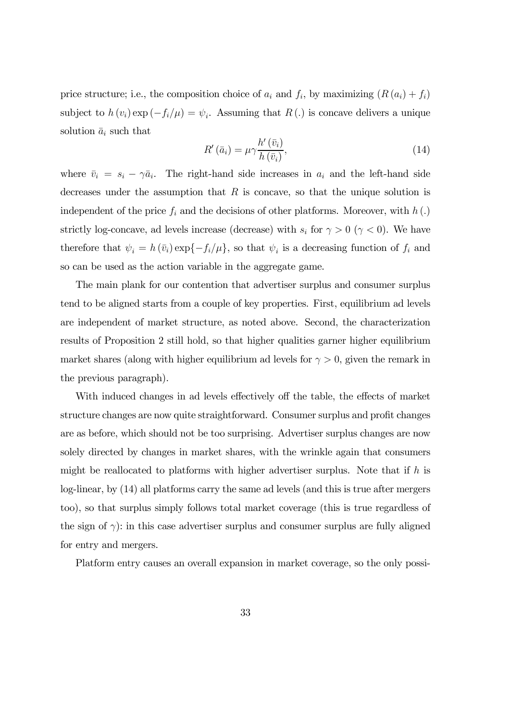price structure; i.e., the composition choice of  $a_i$  and  $f_i$ , by maximizing  $(R(a_i) + f_i)$ subject to  $h(v_i) \exp(-f_i/\mu) = \psi_i$ . Assuming that  $R(.)$  is concave delivers a unique solution  $\bar{a}_i$  such that

$$
R'(\bar{a}_i) = \mu \gamma \frac{h'(\bar{v}_i)}{h(\bar{v}_i)},\tag{14}
$$

where  $\bar{v}_i = s_i - \gamma \bar{a}_i$ . The right-hand side increases in  $a_i$  and the left-hand side decreases under the assumption that  $R$  is concave, so that the unique solution is independent of the price  $f_i$  and the decisions of other platforms. Moreover, with  $h(.)$ strictly log-concave, ad levels increase (decrease) with  $s_i$  for  $\gamma > 0$  ( $\gamma < 0$ ). We have therefore that  $\psi_i = h(\bar{v}_i) \exp{-f_i/\mu}$ , so that  $\psi_i$  is a decreasing function of  $f_i$  and so can be used as the action variable in the aggregate game.

The main plank for our contention that advertiser surplus and consumer surplus tend to be aligned starts from a couple of key properties. First, equilibrium ad levels are independent of market structure, as noted above. Second, the characterization results of Proposition 2 still hold, so that higher qualities garner higher equilibrium market shares (along with higher equilibrium ad levels for  $\gamma > 0$ , given the remark in the previous paragraph).

With induced changes in ad levels effectively off the table, the effects of market structure changes are now quite straightforward. Consumer surplus and profit changes are as before, which should not be too surprising. Advertiser surplus changes are now solely directed by changes in market shares, with the wrinkle again that consumers might be reallocated to platforms with higher advertiser surplus. Note that if  $h$  is log-linear, by (14) all platforms carry the same ad levels (and this is true after mergers too), so that surplus simply follows total market coverage (this is true regardless of the sign of  $\gamma$ : in this case advertiser surplus and consumer surplus are fully aligned for entry and mergers.

Platform entry causes an overall expansion in market coverage, so the only possi-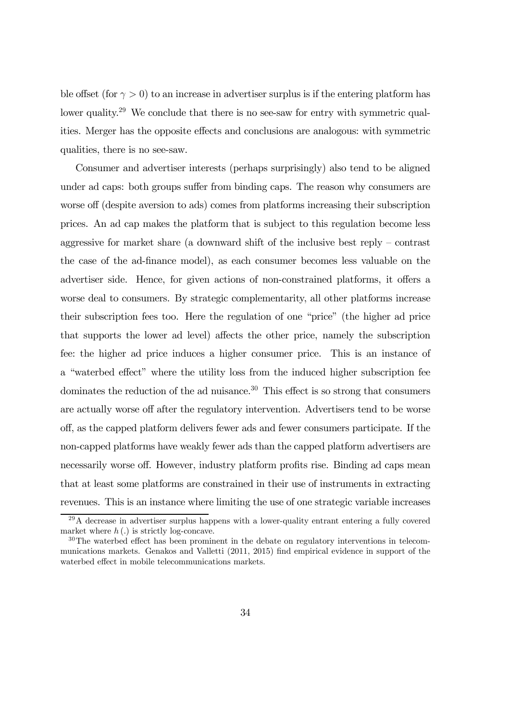ble offset (for  $\gamma > 0$ ) to an increase in advertiser surplus is if the entering platform has lower quality.<sup>29</sup> We conclude that there is no see-saw for entry with symmetric qualities. Merger has the opposite effects and conclusions are analogous: with symmetric qualities, there is no see-saw.

Consumer and advertiser interests (perhaps surprisingly) also tend to be aligned under ad caps: both groups suffer from binding caps. The reason why consumers are worse off (despite aversion to ads) comes from platforms increasing their subscription prices. An ad cap makes the platform that is subject to this regulation become less aggressive for market share (a downward shift of the inclusive best reply — contrast the case of the ad-finance model), as each consumer becomes less valuable on the advertiser side. Hence, for given actions of non-constrained platforms, it offers a worse deal to consumers. By strategic complementarity, all other platforms increase their subscription fees too. Here the regulation of one "price" (the higher ad price that supports the lower ad level) affects the other price, namely the subscription fee: the higher ad price induces a higher consumer price. This is an instance of a "waterbed effect" where the utility loss from the induced higher subscription fee dominates the reduction of the ad nuisance.<sup>30</sup> This effect is so strong that consumers are actually worse off after the regulatory intervention. Advertisers tend to be worse off, as the capped platform delivers fewer ads and fewer consumers participate. If the non-capped platforms have weakly fewer ads than the capped platform advertisers are necessarily worse off. However, industry platform profits rise. Binding ad caps mean that at least some platforms are constrained in their use of instruments in extracting revenues. This is an instance where limiting the use of one strategic variable increases

<sup>29</sup>A decrease in advertiser surplus happens with a lower-quality entrant entering a fully covered market where  $h(.)$  is strictly log-concave.

<sup>&</sup>lt;sup>30</sup>The waterbed effect has been prominent in the debate on regulatory interventions in telecommunications markets. Genakos and Valletti (2011, 2015) find empirical evidence in support of the waterbed effect in mobile telecommunications markets.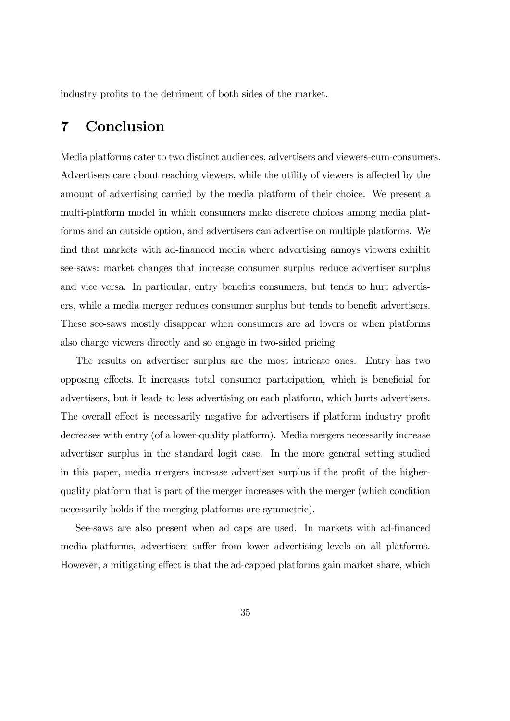industry profits to the detriment of both sides of the market.

# 7 Conclusion

Media platforms cater to two distinct audiences, advertisers and viewers-cum-consumers. Advertisers care about reaching viewers, while the utility of viewers is affected by the amount of advertising carried by the media platform of their choice. We present a multi-platform model in which consumers make discrete choices among media platforms and an outside option, and advertisers can advertise on multiple platforms. We find that markets with ad-financed media where advertising annoys viewers exhibit see-saws: market changes that increase consumer surplus reduce advertiser surplus and vice versa. In particular, entry benefits consumers, but tends to hurt advertisers, while a media merger reduces consumer surplus but tends to benefit advertisers. These see-saws mostly disappear when consumers are ad lovers or when platforms also charge viewers directly and so engage in two-sided pricing.

The results on advertiser surplus are the most intricate ones. Entry has two opposing effects. It increases total consumer participation, which is beneficial for advertisers, but it leads to less advertising on each platform, which hurts advertisers. The overall effect is necessarily negative for advertisers if platform industry profit decreases with entry (of a lower-quality platform). Media mergers necessarily increase advertiser surplus in the standard logit case. In the more general setting studied in this paper, media mergers increase advertiser surplus if the profit of the higherquality platform that is part of the merger increases with the merger (which condition necessarily holds if the merging platforms are symmetric).

See-saws are also present when ad caps are used. In markets with ad-financed media platforms, advertisers suffer from lower advertising levels on all platforms. However, a mitigating effect is that the ad-capped platforms gain market share, which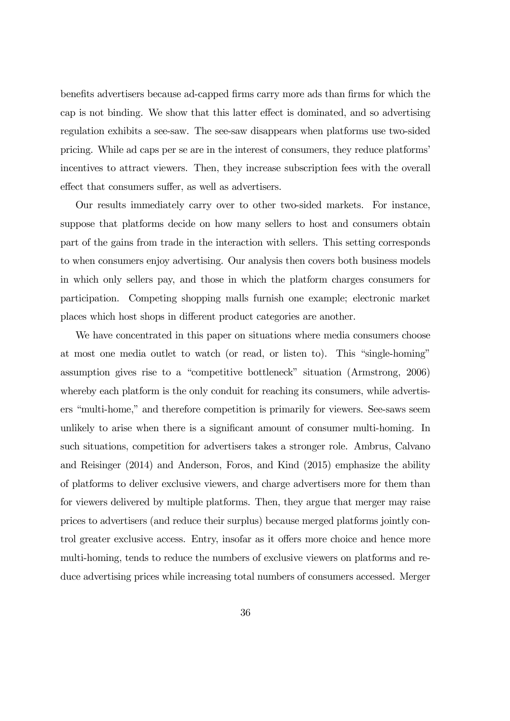benefits advertisers because ad-capped firms carry more ads than firms for which the cap is not binding. We show that this latter effect is dominated, and so advertising regulation exhibits a see-saw. The see-saw disappears when platforms use two-sided pricing. While ad caps per se are in the interest of consumers, they reduce platforms' incentives to attract viewers. Then, they increase subscription fees with the overall effect that consumers suffer, as well as advertisers.

Our results immediately carry over to other two-sided markets. For instance, suppose that platforms decide on how many sellers to host and consumers obtain part of the gains from trade in the interaction with sellers. This setting corresponds to when consumers enjoy advertising. Our analysis then covers both business models in which only sellers pay, and those in which the platform charges consumers for participation. Competing shopping malls furnish one example; electronic market places which host shops in different product categories are another.

We have concentrated in this paper on situations where media consumers choose at most one media outlet to watch (or read, or listen to). This "single-homing" assumption gives rise to a "competitive bottleneck" situation (Armstrong, 2006) whereby each platform is the only conduit for reaching its consumers, while advertisers "multi-home," and therefore competition is primarily for viewers. See-saws seem unlikely to arise when there is a significant amount of consumer multi-homing. In such situations, competition for advertisers takes a stronger role. Ambrus, Calvano and Reisinger (2014) and Anderson, Foros, and Kind (2015) emphasize the ability of platforms to deliver exclusive viewers, and charge advertisers more for them than for viewers delivered by multiple platforms. Then, they argue that merger may raise prices to advertisers (and reduce their surplus) because merged platforms jointly control greater exclusive access. Entry, insofar as it offers more choice and hence more multi-homing, tends to reduce the numbers of exclusive viewers on platforms and reduce advertising prices while increasing total numbers of consumers accessed. Merger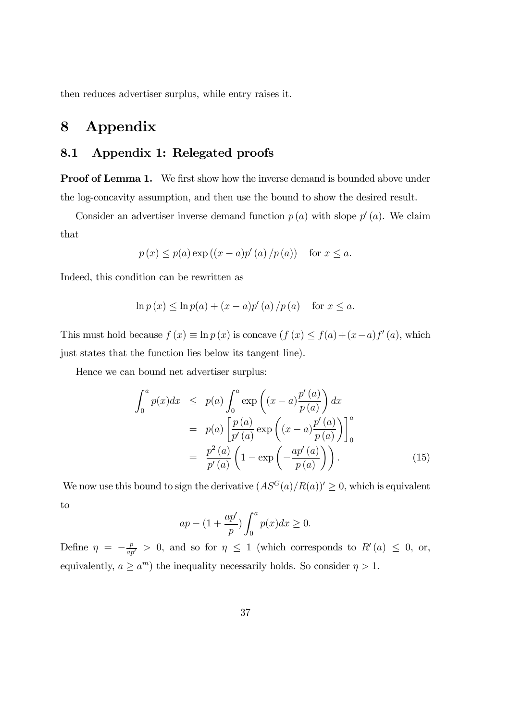then reduces advertiser surplus, while entry raises it.

# 8 Appendix

### 8.1 Appendix 1: Relegated proofs

**Proof of Lemma 1.** We first show how the inverse demand is bounded above under the log-concavity assumption, and then use the bound to show the desired result.

Consider an advertiser inverse demand function  $p(a)$  with slope  $p'(a)$ . We claim that

$$
p(x) \le p(a) \exp((x-a)p'(a)/p(a))
$$
 for  $x \le a$ .

Indeed, this condition can be rewritten as

$$
\ln p(x) \le \ln p(a) + (x - a)p'(a) / p(a)
$$
 for  $x \le a$ .

This must hold because  $f(x) \equiv \ln p(x)$  is concave  $(f(x) \leq f(a)+(x-a)f'(a)$ , which just states that the function lies below its tangent line).

Hence we can bound net advertiser surplus:

$$
\int_0^a p(x)dx \le p(a) \int_0^a \exp\left((x-a)\frac{p'(a)}{p(a)}\right)dx
$$
  
=  $p(a) \left[\frac{p(a)}{p'(a)} \exp\left((x-a)\frac{p'(a)}{p(a)}\right)\right]_0^a$   
=  $\frac{p^2(a)}{p'(a)} \left(1 - \exp\left(-\frac{ap'(a)}{p(a)}\right)\right).$  (15)

We now use this bound to sign the derivative  $(AS^G(a)/R(a))' \geq 0$ , which is equivalent to

$$
ap - (1 + \frac{ap'}{p}) \int_0^a p(x) dx \ge 0.
$$

Define  $\eta = -\frac{p}{ap'} > 0$ , and so for  $\eta \leq 1$  (which corresponds to  $R'(a) \leq 0$ , or, equivalently,  $a \ge a^m$ ) the inequality necessarily holds. So consider  $\eta > 1$ .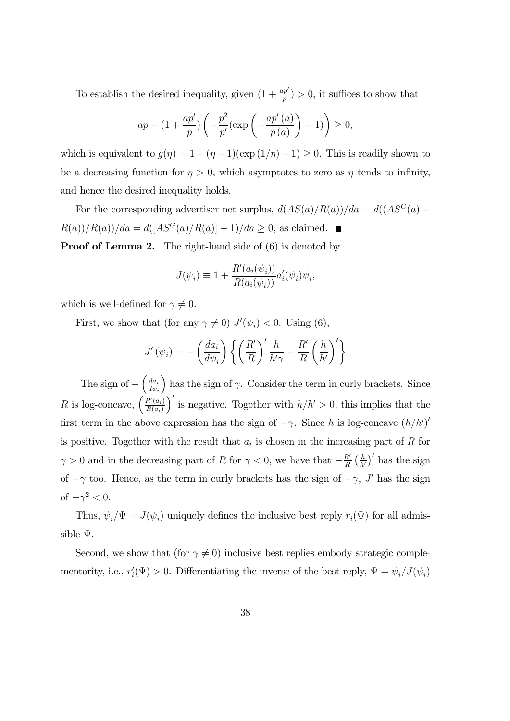To establish the desired inequality, given  $(1 + \frac{ap'}{p}) > 0$ , it suffices to show that

$$
ap - \left(1 + \frac{ap'}{p}\right) \left(-\frac{p^2}{p'}\left(\exp\left(-\frac{ap'(a)}{p\left(a\right)}\right) - 1\right)\right) \ge 0,
$$

which is equivalent to  $g(\eta)=1 - (\eta - 1)(\exp(1/\eta) - 1) \geq 0$ . This is readily shown to be a decreasing function for  $\eta > 0$ , which asymptotes to zero as  $\eta$  tends to infinity, and hence the desired inequality holds.

For the corresponding advertiser net surplus,  $d(AS(a)/R(a))/da = d((AS^G(a) R(a))/R(a)/da = d([AS^G(a)/R(a)] - 1)/da \ge 0$ , as claimed.  $\blacksquare$ 

**Proof of Lemma 2.** The right-hand side of (6) is denoted by

$$
J(\psi_i) \equiv 1 + \frac{R'(a_i(\psi_i))}{R(a_i(\psi_i))} a'_i(\psi_i)\psi_i,
$$

which is well-defined for  $\gamma \neq 0$ .

First, we show that (for any  $\gamma \neq 0$ )  $J'(\psi_i) < 0$ . Using (6),

$$
J'\left(\psi_i\right) = -\left(\frac{da_i}{d\psi_i}\right) \left\{ \left(\frac{R'}{R}\right)' \frac{h}{h'\gamma} - \frac{R'}{R} \left(\frac{h}{h'}\right)' \right\}
$$

The sign of  $-\left(\frac{da_i}{d\psi_i}\right)$  $d\psi_i$ ) has the sign of  $\gamma$ . Consider the term in curly brackets. Since R is log-concave,  $\left(\frac{R'(a_i)}{R(a_i)}\right)$  $R(a_i)$  $\int'$  is negative. Together with  $h/h' > 0$ , this implies that the first term in the above expression has the sign of  $-\gamma$ . Since h is log-concave  $(h/h')'$ is positive. Together with the result that  $a_i$  is chosen in the increasing part of  $R$  for  $\gamma > 0$  and in the decreasing part of R for  $\gamma < 0$ , we have that  $-\frac{R'}{R} \left(\frac{h}{h'}\right)'$  has the sign of  $-\gamma$  too. Hence, as the term in curly brackets has the sign of  $-\gamma$ , J' has the sign of  $-\gamma^2 < 0$ .

Thus,  $\psi_i/\Psi = J(\psi_i)$  uniquely defines the inclusive best reply  $r_i(\Psi)$  for all admissible Ψ.

Second, we show that (for  $\gamma \neq 0$ ) inclusive best replies embody strategic complementarity, i.e.,  $r_i'(\Psi) > 0$ . Differentiating the inverse of the best reply,  $\Psi = \psi_i / J(\psi_i)$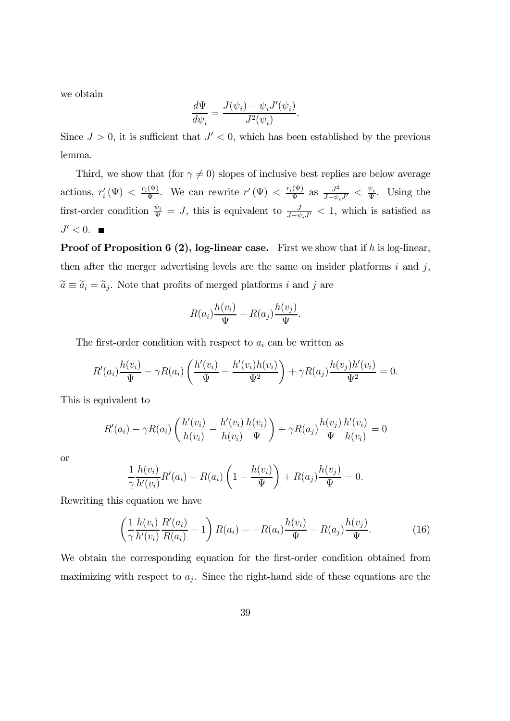we obtain

$$
\frac{d\Psi}{d\psi_i} = \frac{J(\psi_i) - \psi_i J'(\psi_i)}{J^2(\psi_i)}.
$$

Since  $J > 0$ , it is sufficient that  $J' < 0$ , which has been established by the previous lemma.

Third, we show that (for  $\gamma \neq 0$ ) slopes of inclusive best replies are below average actions,  $r'_i(\Psi) < \frac{r_i(\Psi)}{\Psi}$ . We can rewrite  $r'(\Psi) < \frac{r_i(\Psi)}{\Psi}$  as  $\frac{J^2}{J - \psi_i J'} < \frac{\psi_i}{\Psi}$ . Using the first-order condition  $\frac{\psi_i}{\Psi} = J$ , this is equivalent to  $\frac{J}{J - \psi_i J'} < 1$ , which is satisfied as  $J' < 0$ .

**Proof of Proposition 6 (2), log-linear case.** First we show that if  $h$  is log-linear, then after the merger advertising levels are the same on insider platforms  $i$  and  $j$ ,  $\widetilde{a} \equiv \widetilde{a}_i = \widetilde{a}_j$ . Note that profits of merged platforms *i* and *j* are

$$
R(a_i)\frac{h(v_i)}{\Psi} + R(a_j)\frac{h(v_j)}{\Psi}.
$$

The first-order condition with respect to  $a_i$  can be written as

$$
R'(a_i)\frac{h(v_i)}{\Psi} - \gamma R(a_i) \left( \frac{h'(v_i)}{\Psi} - \frac{h'(v_i)h(v_i)}{\Psi^2} \right) + \gamma R(a_j)\frac{h(v_j)h'(v_i)}{\Psi^2} = 0.
$$

This is equivalent to

$$
R'(a_i) - \gamma R(a_i) \left( \frac{h'(v_i)}{h(v_i)} - \frac{h'(v_i)}{h(v_i)} \frac{h(v_i)}{\Psi} \right) + \gamma R(a_j) \frac{h(v_j)}{\Psi} \frac{h'(v_i)}{h(v_i)} = 0
$$

or

$$
\frac{1}{\gamma} \frac{h(v_i)}{h'(v_i)} R'(a_i) - R(a_i) \left( 1 - \frac{h(v_i)}{\Psi} \right) + R(a_j) \frac{h(v_j)}{\Psi} = 0.
$$

Rewriting this equation we have

$$
\left(\frac{1}{\gamma} \frac{h(v_i)}{h'(v_i)} \frac{R'(a_i)}{R(a_i)} - 1\right) R(a_i) = -R(a_i) \frac{h(v_i)}{\Psi} - R(a_j) \frac{h(v_j)}{\Psi}.
$$
\n(16)

We obtain the corresponding equation for the first-order condition obtained from maximizing with respect to  $a_j$ . Since the right-hand side of these equations are the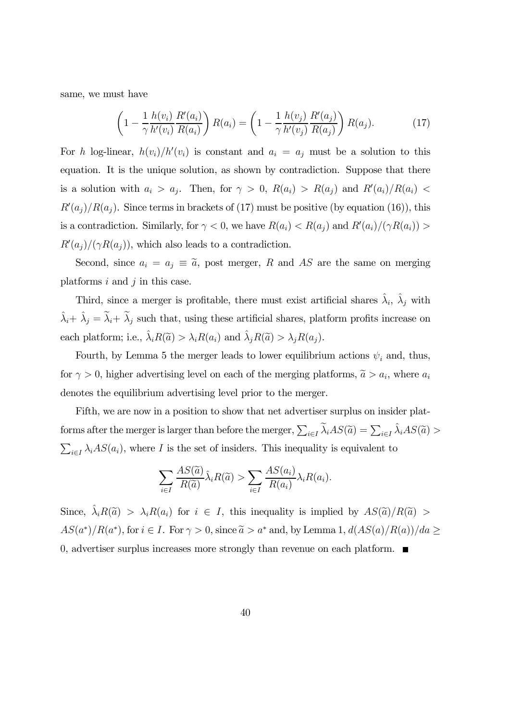same, we must have

$$
\left(1 - \frac{1}{\gamma} \frac{h(v_i)}{h'(v_i)} \frac{R'(a_i)}{R(a_i)}\right) R(a_i) = \left(1 - \frac{1}{\gamma} \frac{h(v_j)}{h'(v_j)} \frac{R'(a_j)}{R(a_j)}\right) R(a_j).
$$
 (17)

For h log-linear,  $h(v_i)/h'(v_i)$  is constant and  $a_i = a_j$  must be a solution to this equation. It is the unique solution, as shown by contradiction. Suppose that there is a solution with  $a_i > a_j$ . Then, for  $\gamma > 0$ ,  $R(a_i) > R(a_j)$  and  $R'(a_i)/R(a_i)$  $R'(a_j)/R(a_j)$ . Since terms in brackets of (17) must be positive (by equation (16)), this is a contradiction. Similarly, for  $\gamma < 0$ , we have  $R(a_i) < R(a_j)$  and  $R'(a_i)/(\gamma R(a_i)) >$  $R'(a_j)/(\gamma R(a_j))$ , which also leads to a contradiction.

Second, since  $a_i = a_j \equiv \tilde{a}$ , post merger, R and AS are the same on merging platforms  $i$  and  $j$  in this case.

Third, since a merger is profitable, there must exist artificial shares  $\hat{\lambda}_i$ ,  $\hat{\lambda}_j$  with  $\hat{\lambda}_i + \hat{\lambda}_j = \tilde{\lambda}_i + \tilde{\lambda}_j$  such that, using these artificial shares, platform profits increase on each platform; i.e.,  $\hat{\lambda}_i R(\tilde{a}) > \lambda_i R(a_i)$  and  $\hat{\lambda}_j R(\tilde{a}) > \lambda_j R(a_j)$ .

Fourth, by Lemma 5 the merger leads to lower equilibrium actions  $\psi_i$  and, thus, for  $\gamma > 0$ , higher advertising level on each of the merging platforms,  $\tilde{a} > a_i$ , where  $a_i$ denotes the equilibrium advertising level prior to the merger.

Fifth, we are now in a position to show that net advertiser surplus on insider platforms after the merger is larger than before the merger,  $\sum_{i\in I} \tilde{\lambda}_i AS(\tilde{a}) = \sum_{i\in I} \hat{\lambda}_i AS(\tilde{a}) >$  $\sum_{i\in I} \lambda_i AS(a_i)$ , where I is the set of insiders. This inequality is equivalent to

$$
\sum_{i \in I} \frac{AS(\widetilde{a})}{R(\widetilde{a})} \widehat{\lambda}_i R(\widetilde{a}) > \sum_{i \in I} \frac{AS(a_i)}{R(a_i)} \lambda_i R(a_i).
$$

Since,  $\hat{\lambda}_i R(\tilde{a}) > \lambda_i R(a_i)$  for  $i \in I$ , this inequality is implied by  $AS(\tilde{a})/R(\tilde{a}) >$  $AS(a^*)/R(a^*)$ , for  $i \in I$ . For  $\gamma > 0$ , since  $\tilde{a} > a^*$  and, by Lemma 1,  $d(AS(a)/R(a))/da \ge$ 0, advertiser surplus increases more strongly than revenue on each platform.  $\blacksquare$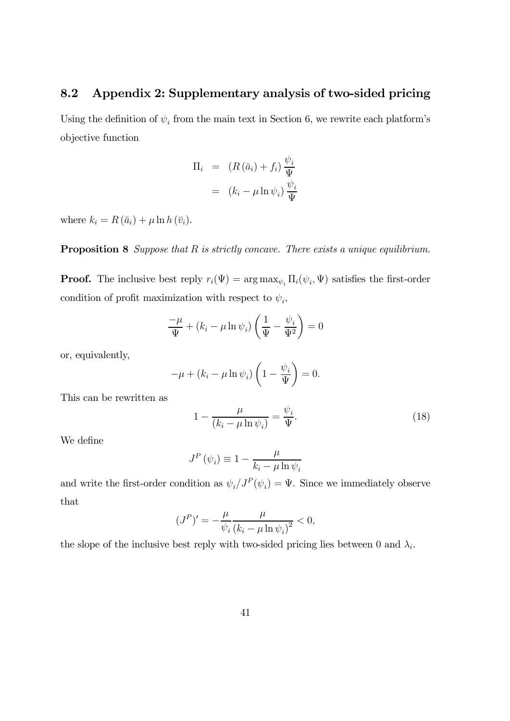### 8.2 Appendix 2: Supplementary analysis of two-sided pricing

Using the definition of  $\psi_i$  from the main text in Section 6, we rewrite each platform's objective function

$$
\Pi_{i} = (R(\bar{a}_{i}) + f_{i}) \frac{\psi_{i}}{\Psi}
$$

$$
= (k_{i} - \mu \ln \psi_{i}) \frac{\psi_{i}}{\Psi}
$$

where  $k_i = R(\bar{a}_i) + \mu \ln h(\bar{v}_i)$ .

**Proposition 8** Suppose that  $R$  is strictly concave. There exists a unique equilibrium.

**Proof.** The inclusive best reply  $r_i(\Psi) = \arg \max_{\psi_i} \Pi_i(\psi_i, \Psi)$  satisfies the first-order condition of profit maximization with respect to  $\psi_i$ ,

$$
\frac{-\mu}{\Psi} + (k_i - \mu \ln \psi_i) \left( \frac{1}{\Psi} - \frac{\psi_i}{\Psi^2} \right) = 0
$$

or, equivalently,

$$
-\mu + (k_i - \mu \ln \psi_i) \left(1 - \frac{\psi_i}{\Psi}\right) = 0.
$$

This can be rewritten as

$$
1 - \frac{\mu}{(k_i - \mu \ln \psi_i)} = \frac{\psi_i}{\Psi}.
$$
\n(18)

We define

$$
J^{P}(\psi_{i}) \equiv 1 - \frac{\mu}{k_{i} - \mu \ln \psi_{i}}
$$

and write the first-order condition as  $\psi_i / J^P(\psi_i) = \Psi$ . Since we immediately observe that

$$
(JP)' = -\frac{\mu}{\psi_i} \frac{\mu}{(k_i - \mu \ln \psi_i)^2} < 0,
$$

the slope of the inclusive best reply with two-sided pricing lies between 0 and  $\lambda_i$ .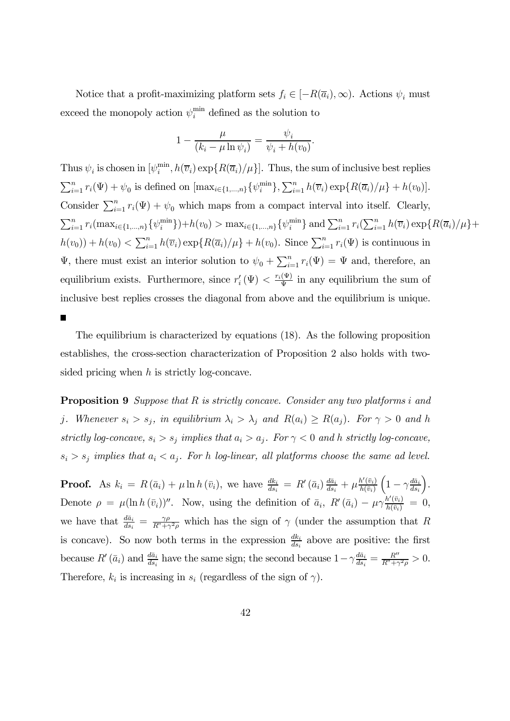Notice that a profit-maximizing platform sets  $f_i \in [-R(\overline{a}_i), \infty)$ . Actions  $\psi_i$  must exceed the monopoly action  $\psi_i^{\min}$  defined as the solution to

$$
1 - \frac{\mu}{(k_i - \mu \ln \psi_i)} = \frac{\psi_i}{\psi_i + h(v_0)}.
$$

Thus  $\psi_i$  is chosen in  $[\psi_i^{\min}, h(\overline{v}_i) \exp\{R(\overline{a}_i)/\mu\}]$ . Thus, the sum of inclusive best replies  $\sum_{i=1}^{n} r_i(\Psi) + \psi_0$  is defined on  $[\max_{i \in \{1,\dots,n\}} {\{\psi_i^{\min}\}} , \sum_{i=1}^{n} h(\overline{v}_i) \exp{\{R(\overline{a}_i)/\mu\}} + h(v_0)].$ Consider  $\sum_{i=1}^{n} r_i(\Psi) + \psi_0$  which maps from a compact interval into itself. Clearly,  $\sum_{i=1}^{n} r_i(\max_{i \in \{1,\dots,n\}} {\{\psi_i^{\min}\}}) + h(v_0) > \max_{i \in \{1,\dots,n\}} {\{\psi_i^{\min}\}}$  and  $\sum_{i=1}^{n} r_i(\sum_{i=1}^{n} h(\overline{v}_i) \exp\{R(\overline{a}_i)/\mu\} +$  $h(v_0) + h(v_0) < \sum_{i=1}^n h(\overline{v}_i) \exp\{R(\overline{a}_i)/\mu\} + h(v_0)$ . Since  $\sum_{i=1}^n r_i(\Psi)$  is continuous in  $\Psi$ , there must exist an interior solution to  $\psi_0 + \sum_{i=1}^n r_i(\Psi) = \Psi$  and, therefore, an equilibrium exists. Furthermore, since  $r'_{i}(\Psi) < \frac{r_{i}(\Psi)}{\Psi}$  in any equilibrium the sum of inclusive best replies crosses the diagonal from above and the equilibrium is unique.

 $\blacksquare$ 

The equilibrium is characterized by equations (18). As the following proposition establishes, the cross-section characterization of Proposition 2 also holds with twosided pricing when  $h$  is strictly log-concave.

**Proposition 9** Suppose that  $R$  is strictly concave. Consider any two platforms i and j. Whenever  $s_i > s_j$ , in equilibrium  $\lambda_i > \lambda_j$  and  $R(a_i) \ge R(a_j)$ . For  $\gamma > 0$  and h strictly log-concave,  $s_i > s_j$  implies that  $a_i > a_j$ . For  $\gamma < 0$  and h strictly log-concave,  $s_i > s_j$  implies that  $a_i < a_j$ . For h log-linear, all platforms choose the same ad level.

**Proof.** As  $k_i = R(\bar{a}_i) + \mu \ln h(\bar{v}_i)$ , we have  $\frac{dk_i}{ds_i} = R'(\bar{a}_i) \frac{d\bar{a}_i}{ds_i} + \mu \frac{h'(\bar{v}_i)}{h(\bar{v}_i)}$  $h(\bar{v}_i)$  $\Big(1-\gamma \frac{d\bar{a}_i}{ds_i}$ ´ . Denote  $\rho = \mu(\ln h(\bar{v}_i))''$ . Now, using the definition of  $\bar{a}_i$ ,  $R'(\bar{a}_i) - \mu \gamma \frac{h'(\bar{v}_i)}{h(\bar{v}_i)} = 0$ , we have that  $\frac{d\bar{a}_i}{ds_i} = \frac{\gamma \rho}{R^n + \gamma^2 \rho}$  which has the sign of  $\gamma$  (under the assumption that R is concave). So now both terms in the expression  $\frac{dk_i}{ds_i}$  above are positive: the first because  $R'(\bar{a}_i)$  and  $\frac{d\bar{a}_i}{ds_i}$  have the same sign; the second because  $1-\gamma \frac{d\bar{a}_i}{ds_i} = \frac{R''}{R''+\gamma^2\rho} > 0$ . Therefore,  $k_i$  is increasing in  $s_i$  (regardless of the sign of  $\gamma$ ).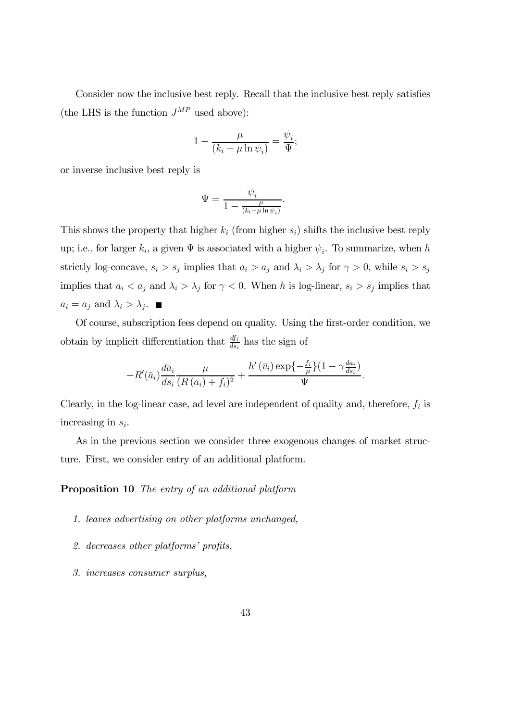Consider now the inclusive best reply. Recall that the inclusive best reply satisfies (the LHS is the function  $J^{MP}$  used above):

$$
1 - \frac{\mu}{(k_i - \mu \ln \psi_i)} = \frac{\psi_i}{\Psi};
$$

or inverse inclusive best reply is

$$
\Psi = \frac{\psi_i}{1 - \frac{\mu}{(k_i - \mu \ln \psi_i)}}.
$$

This shows the property that higher  $k_i$  (from higher  $s_i$ ) shifts the inclusive best reply up; i.e., for larger  $k_i$ , a given  $\Psi$  is associated with a higher  $\psi_i$ . To summarize, when h strictly log-concave,  $s_i > s_j$  implies that  $a_i > a_j$  and  $\lambda_i > \lambda_j$  for  $\gamma > 0$ , while  $s_i > s_j$ implies that  $a_i < a_j$  and  $\lambda_i > \lambda_j$  for  $\gamma < 0$ . When h is log-linear,  $s_i > s_j$  implies that  $a_i = a_j$  and  $\lambda_i > \lambda_j$ .

Of course, subscription fees depend on quality. Using the first-order condition, we obtain by implicit differentiation that  $\frac{df_i}{ds_i}$  has the sign of

$$
-R'(\bar{a}_i)\frac{d\bar{a}_i}{ds_i}\frac{\mu}{(R(\bar{a}_i)+f_i)^2}+\frac{h'\left(\bar{v}_i\right)\exp\left\{-\frac{f_i}{\mu}\right\}\left(1-\gamma\frac{da_i}{ds_i}\right)}{\Psi}.
$$

Clearly, in the log-linear case, ad level are independent of quality and, therefore,  $f_i$  is increasing in  $s_i$ .

As in the previous section we consider three exogenous changes of market structure. First, we consider entry of an additional platform.

Proposition 10 The entry of an additional platform

- 1. leaves advertising on other platforms unchanged,
- 2. decreases other platforms' profits,
- 3. increases consumer surplus,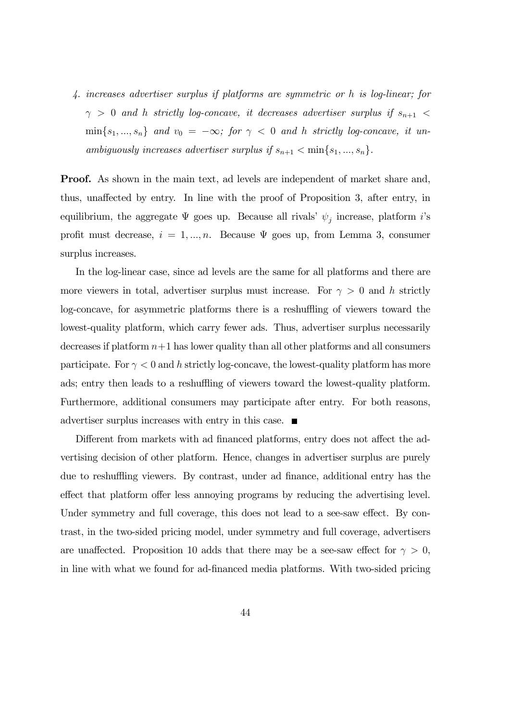4. increases advertiser surplus if platforms are symmetric or h is log-linear; for  $\gamma$   $>$  0 and  $h$  strictly log-concave, it decreases advertiser surplus if  $s_{n+1}$   $<$  $\min\{s_1, ..., s_n\}$  and  $v_0 = -\infty$ ; for  $\gamma < 0$  and h strictly log-concave, it unambiguously increases advertiser surplus if  $s_{n+1} < \min\{s_1, ..., s_n\}$ .

Proof. As shown in the main text, ad levels are independent of market share and, thus, unaffected by entry. In line with the proof of Proposition 3, after entry, in equilibrium, the aggregate  $\Psi$  goes up. Because all rivals'  $\psi_j$  increase, platform i's profit must decrease,  $i = 1, ..., n$ . Because  $\Psi$  goes up, from Lemma 3, consumer surplus increases.

In the log-linear case, since ad levels are the same for all platforms and there are more viewers in total, advertiser surplus must increase. For  $\gamma > 0$  and h strictly log-concave, for asymmetric platforms there is a reshuffling of viewers toward the lowest-quality platform, which carry fewer ads. Thus, advertiser surplus necessarily decreases if platform  $n+1$  has lower quality than all other platforms and all consumers participate. For  $\gamma < 0$  and h strictly log-concave, the lowest-quality platform has more ads; entry then leads to a reshuffling of viewers toward the lowest-quality platform. Furthermore, additional consumers may participate after entry. For both reasons, advertiser surplus increases with entry in this case.

Different from markets with ad financed platforms, entry does not affect the advertising decision of other platform. Hence, changes in advertiser surplus are purely due to reshuffling viewers. By contrast, under ad finance, additional entry has the effect that platform offer less annoying programs by reducing the advertising level. Under symmetry and full coverage, this does not lead to a see-saw effect. By contrast, in the two-sided pricing model, under symmetry and full coverage, advertisers are unaffected. Proposition 10 adds that there may be a see-saw effect for  $\gamma > 0$ , in line with what we found for ad-financed media platforms. With two-sided pricing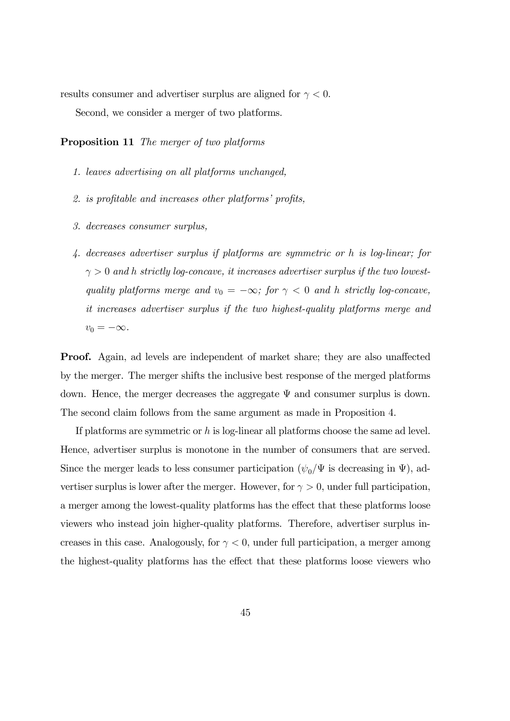results consumer and advertiser surplus are aligned for  $\gamma < 0$ .

Second, we consider a merger of two platforms.

Proposition 11 The merger of two platforms

- 1. leaves advertising on all platforms unchanged,
- 2. is profitable and increases other platforms' profits,
- 3. decreases consumer surplus,
- 4. decreases advertiser surplus if platforms are symmetric or h is log-linear; for  $\gamma > 0$  and h strictly log-concave, it increases advertiser surplus if the two lowestquality platforms merge and  $v_0 = -\infty$ ; for  $\gamma < 0$  and h strictly log-concave, it increases advertiser surplus if the two highest-quality platforms merge and  $v_0 = -\infty$ .

Proof. Again, ad levels are independent of market share; they are also unaffected by the merger. The merger shifts the inclusive best response of the merged platforms down. Hence, the merger decreases the aggregate  $\Psi$  and consumer surplus is down. The second claim follows from the same argument as made in Proposition 4.

If platforms are symmetric or  $h$  is log-linear all platforms choose the same ad level. Hence, advertiser surplus is monotone in the number of consumers that are served. Since the merger leads to less consumer participation  $(\psi_0/\Psi)$  is decreasing in  $\Psi$ ), advertiser surplus is lower after the merger. However, for  $\gamma > 0$ , under full participation, a merger among the lowest-quality platforms has the effect that these platforms loose viewers who instead join higher-quality platforms. Therefore, advertiser surplus increases in this case. Analogously, for  $\gamma < 0$ , under full participation, a merger among the highest-quality platforms has the effect that these platforms loose viewers who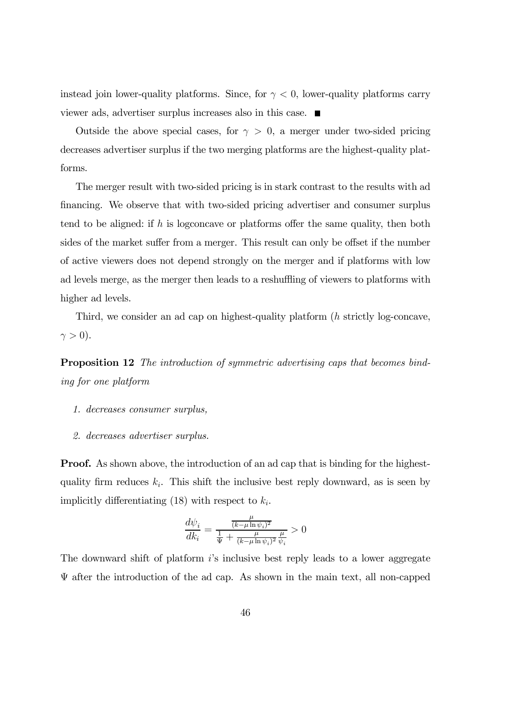instead join lower-quality platforms. Since, for  $\gamma < 0$ , lower-quality platforms carry viewer ads, advertiser surplus increases also in this case.

Outside the above special cases, for  $\gamma > 0$ , a merger under two-sided pricing decreases advertiser surplus if the two merging platforms are the highest-quality platforms.

The merger result with two-sided pricing is in stark contrast to the results with ad financing. We observe that with two-sided pricing advertiser and consumer surplus tend to be aligned: if  $h$  is logconcave or platforms offer the same quality, then both sides of the market suffer from a merger. This result can only be offset if the number of active viewers does not depend strongly on the merger and if platforms with low ad levels merge, as the merger then leads to a reshuffling of viewers to platforms with higher ad levels.

Third, we consider an ad cap on highest-quality platform  $(h$  strictly log-concave,  $\gamma > 0$ ).

Proposition 12 The introduction of symmetric advertising caps that becomes binding for one platform

- 1. decreases consumer surplus,
- 2. decreases advertiser surplus.

**Proof.** As shown above, the introduction of an ad cap that is binding for the highestquality firm reduces  $k_i$ . This shift the inclusive best reply downward, as is seen by implicitly differentiating (18) with respect to  $k_i$ .

$$
\frac{d\psi_i}{dk_i} = \frac{\frac{\mu}{(k-\mu\ln\psi_i)^2}}{\frac{1}{\Psi} + \frac{\mu}{(k-\mu\ln\psi_i)^2}\frac{\mu}{\psi_i}} > 0
$$

The downward shift of platform is inclusive best reply leads to a lower aggregate  $\Psi$  after the introduction of the ad cap. As shown in the main text, all non-capped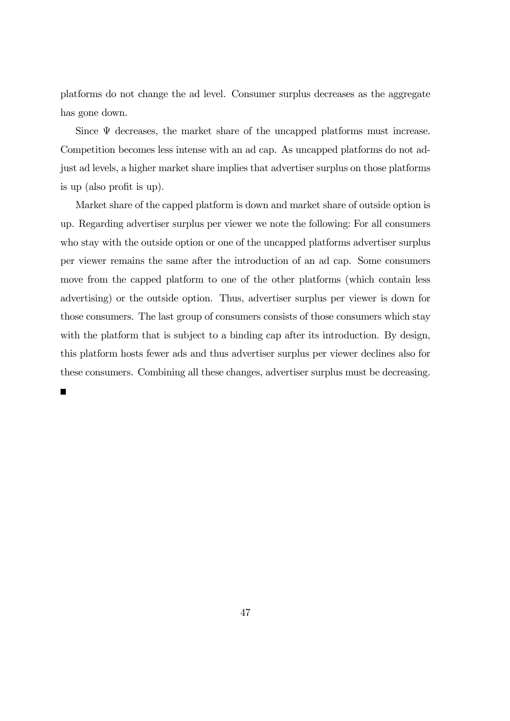platforms do not change the ad level. Consumer surplus decreases as the aggregate has gone down.

Since  $\Psi$  decreases, the market share of the uncapped platforms must increase. Competition becomes less intense with an ad cap. As uncapped platforms do not adjust ad levels, a higher market share implies that advertiser surplus on those platforms is up (also profit is up).

Market share of the capped platform is down and market share of outside option is up. Regarding advertiser surplus per viewer we note the following: For all consumers who stay with the outside option or one of the uncapped platforms advertiser surplus per viewer remains the same after the introduction of an ad cap. Some consumers move from the capped platform to one of the other platforms (which contain less advertising) or the outside option. Thus, advertiser surplus per viewer is down for those consumers. The last group of consumers consists of those consumers which stay with the platform that is subject to a binding cap after its introduction. By design, this platform hosts fewer ads and thus advertiser surplus per viewer declines also for these consumers. Combining all these changes, advertiser surplus must be decreasing.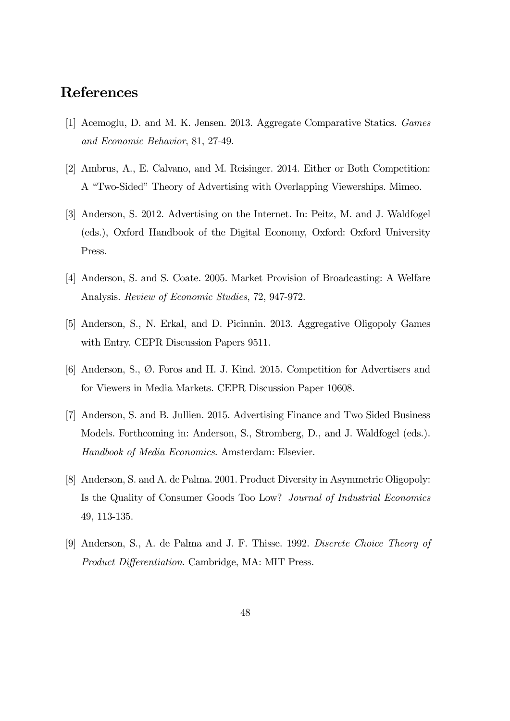# References

- [1] Acemoglu, D. and M. K. Jensen. 2013. Aggregate Comparative Statics. Games and Economic Behavior, 81, 27-49.
- [2] Ambrus, A., E. Calvano, and M. Reisinger. 2014. Either or Both Competition: A "Two-Sided" Theory of Advertising with Overlapping Viewerships. Mimeo.
- [3] Anderson, S. 2012. Advertising on the Internet. In: Peitz, M. and J. Waldfogel (eds.), Oxford Handbook of the Digital Economy, Oxford: Oxford University Press.
- [4] Anderson, S. and S. Coate. 2005. Market Provision of Broadcasting: A Welfare Analysis. Review of Economic Studies, 72, 947-972.
- [5] Anderson, S., N. Erkal, and D. Picinnin. 2013. Aggregative Oligopoly Games with Entry. CEPR Discussion Papers 9511.
- [6] Anderson, S., Ø. Foros and H. J. Kind. 2015. Competition for Advertisers and for Viewers in Media Markets. CEPR Discussion Paper 10608.
- [7] Anderson, S. and B. Jullien. 2015. Advertising Finance and Two Sided Business Models. Forthcoming in: Anderson, S., Stromberg, D., and J. Waldfogel (eds.). Handbook of Media Economics. Amsterdam: Elsevier.
- [8] Anderson, S. and A. de Palma. 2001. Product Diversity in Asymmetric Oligopoly: Is the Quality of Consumer Goods Too Low? Journal of Industrial Economics 49, 113-135.
- [9] Anderson, S., A. de Palma and J. F. Thisse. 1992. Discrete Choice Theory of Product Differentiation. Cambridge, MA: MIT Press.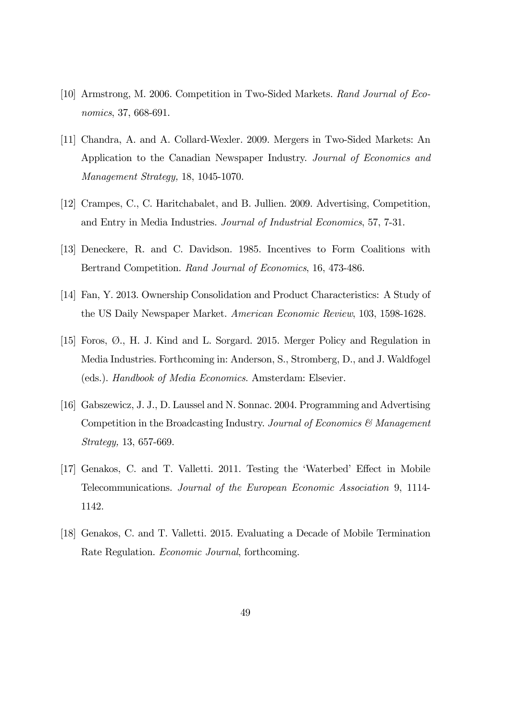- [10] Armstrong, M. 2006. Competition in Two-Sided Markets. Rand Journal of Economics, 37, 668-691.
- [11] Chandra, A. and A. Collard-Wexler. 2009. Mergers in Two-Sided Markets: An Application to the Canadian Newspaper Industry. Journal of Economics and Management Strategy, 18, 1045-1070.
- [12] Crampes, C., C. Haritchabalet, and B. Jullien. 2009. Advertising, Competition, and Entry in Media Industries. Journal of Industrial Economics, 57, 7-31.
- [13] Deneckere, R. and C. Davidson. 1985. Incentives to Form Coalitions with Bertrand Competition. Rand Journal of Economics, 16, 473-486.
- [14] Fan, Y. 2013. Ownership Consolidation and Product Characteristics: A Study of the US Daily Newspaper Market. American Economic Review, 103, 1598-1628.
- [15] Foros, Ø., H. J. Kind and L. Sorgard. 2015. Merger Policy and Regulation in Media Industries. Forthcoming in: Anderson, S., Stromberg, D., and J. Waldfogel (eds.). Handbook of Media Economics. Amsterdam: Elsevier.
- [16] Gabszewicz, J. J., D. Laussel and N. Sonnac. 2004. Programming and Advertising Competition in the Broadcasting Industry. Journal of Economics  $\mathcal{C}$  Management Strategy, 13, 657-669.
- [17] Genakos, C. and T. Valletti. 2011. Testing the 'Waterbed' Effect in Mobile Telecommunications. Journal of the European Economic Association 9, 1114- 1142.
- [18] Genakos, C. and T. Valletti. 2015. Evaluating a Decade of Mobile Termination Rate Regulation. Economic Journal, forthcoming.